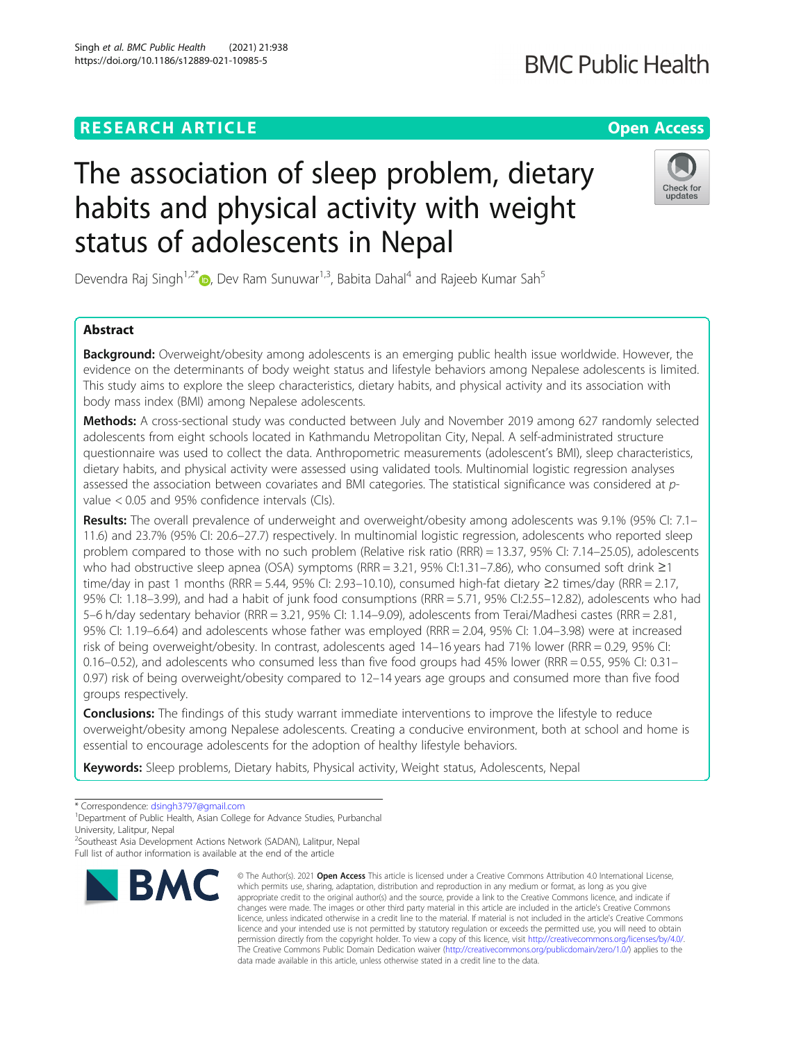# **RESEARCH ARTICLE Example 2014 12:30 The Contract of Contract ACCESS**

# The association of sleep problem, dietary habits and physical activity with weight status of adolescents in Nepal

Devendra Raj Singh<sup>1[,](http://orcid.org/0000-0003-1450-9476)2\*</sup>  $\bullet$ , Dev Ram Sunuwar<sup>1,3</sup>, Babita Dahal<sup>4</sup> and Rajeeb Kumar Sah<sup>5</sup>

## Abstract

**Background:** Overweight/obesity among adolescents is an emerging public health issue worldwide. However, the evidence on the determinants of body weight status and lifestyle behaviors among Nepalese adolescents is limited. This study aims to explore the sleep characteristics, dietary habits, and physical activity and its association with body mass index (BMI) among Nepalese adolescents.

Methods: A cross-sectional study was conducted between July and November 2019 among 627 randomly selected adolescents from eight schools located in Kathmandu Metropolitan City, Nepal. A self-administrated structure questionnaire was used to collect the data. Anthropometric measurements (adolescent's BMI), sleep characteristics, dietary habits, and physical activity were assessed using validated tools. Multinomial logistic regression analyses assessed the association between covariates and BMI categories. The statistical significance was considered at pvalue < 0.05 and 95% confidence intervals (CIs).

Results: The overall prevalence of underweight and overweight/obesity among adolescents was 9.1% (95% CI: 7.1– 11.6) and 23.7% (95% CI: 20.6–27.7) respectively. In multinomial logistic regression, adolescents who reported sleep problem compared to those with no such problem (Relative risk ratio (RRR) = 13.37, 95% CI: 7.14–25.05), adolescents who had obstructive sleep apnea (OSA) symptoms (RRR = 3.21, 95% CI:1.31–7.86), who consumed soft drink ≥1 time/day in past 1 months (RRR = 5.44, 95% CI: 2.93–10.10), consumed high-fat dietary ≥2 times/day (RRR = 2.17, 95% CI: 1.18–3.99), and had a habit of junk food consumptions (RRR = 5.71, 95% CI:2.55–12.82), adolescents who had 5–6 h/day sedentary behavior (RRR = 3.21, 95% CI: 1.14–9.09), adolescents from Terai/Madhesi castes (RRR = 2.81, 95% CI: 1.19–6.64) and adolescents whose father was employed (RRR = 2.04, 95% CI: 1.04–3.98) were at increased risk of being overweight/obesity. In contrast, adolescents aged 14–16 years had 71% lower (RRR = 0.29, 95% CI:  $0.16$ –0.52), and adolescents who consumed less than five food groups had 45% lower (RRR = 0.55, 95% CI: 0.31– 0.97) risk of being overweight/obesity compared to 12–14 years age groups and consumed more than five food groups respectively.

**Conclusions:** The findings of this study warrant immediate interventions to improve the lifestyle to reduce overweight/obesity among Nepalese adolescents. Creating a conducive environment, both at school and home is essential to encourage adolescents for the adoption of healthy lifestyle behaviors.

Keywords: Sleep problems, Dietary habits, Physical activity, Weight status, Adolescents, Nepal

**BMC** 

<sup>2</sup>Southeast Asia Development Actions Network (SADAN), Lalitpur, Nepal Full list of author information is available at the end of the article

© The Author(s), 2021 **Open Access** This article is licensed under a Creative Commons Attribution 4.0 International License, which permits use, sharing, adaptation, distribution and reproduction in any medium or format, as long as you give





<sup>\*</sup> Correspondence: [dsingh3797@gmail.com](mailto:dsingh3797@gmail.com) <sup>1</sup>

<sup>&</sup>lt;sup>1</sup>Department of Public Health, Asian College for Advance Studies, Purbanchal University, Lalitpur, Nepal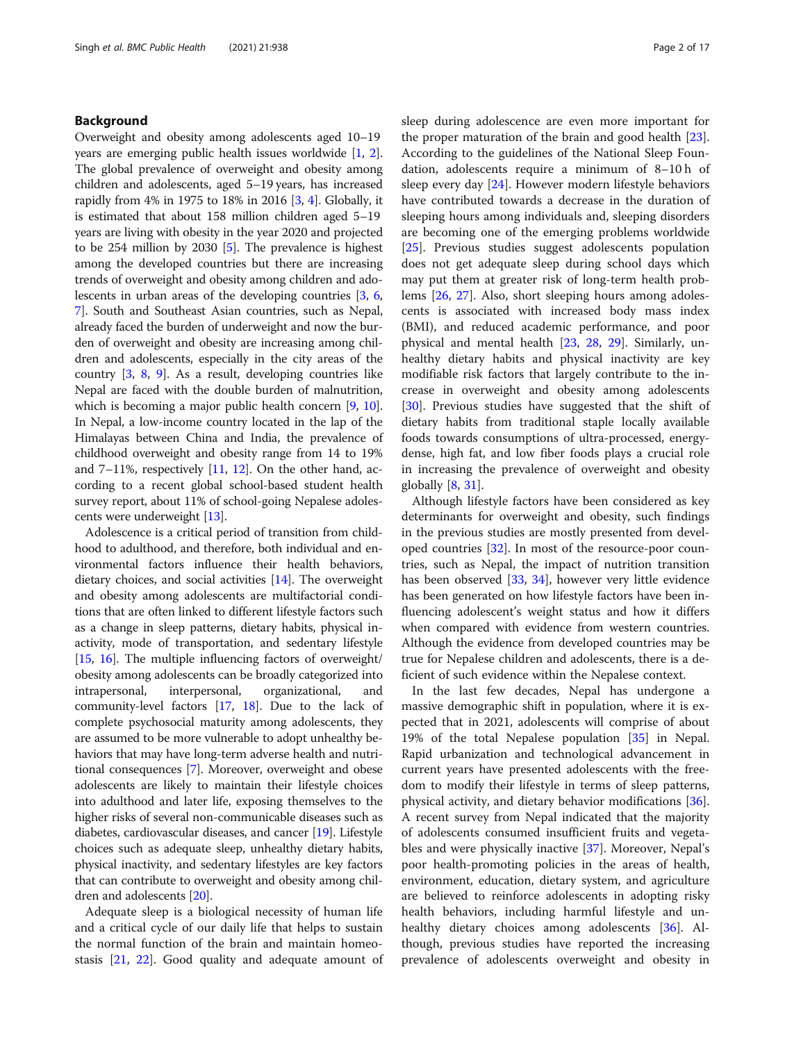#### Background

Overweight and obesity among adolescents aged 10–19 years are emerging public health issues worldwide [[1,](#page-14-0) [2](#page-14-0)]. The global prevalence of overweight and obesity among children and adolescents, aged 5–19 years, has increased rapidly from 4% in 1975 to 18% in 2016 [[3,](#page-14-0) [4\]](#page-14-0). Globally, it is estimated that about 158 million children aged 5–19 years are living with obesity in the year 2020 and projected to be 254 million by 2030 [[5\]](#page-14-0). The prevalence is highest among the developed countries but there are increasing trends of overweight and obesity among children and adolescents in urban areas of the developing countries [\[3,](#page-14-0) [6](#page-14-0), [7\]](#page-14-0). South and Southeast Asian countries, such as Nepal, already faced the burden of underweight and now the burden of overweight and obesity are increasing among children and adolescents, especially in the city areas of the country [\[3](#page-14-0), [8,](#page-14-0) [9](#page-15-0)]. As a result, developing countries like Nepal are faced with the double burden of malnutrition, which is becoming a major public health concern [\[9](#page-15-0), [10](#page-15-0)]. In Nepal, a low-income country located in the lap of the Himalayas between China and India, the prevalence of childhood overweight and obesity range from 14 to 19% and 7–11%, respectively  $[11, 12]$  $[11, 12]$  $[11, 12]$  $[11, 12]$ . On the other hand, according to a recent global school-based student health survey report, about 11% of school-going Nepalese adolescents were underweight [\[13](#page-15-0)].

Adolescence is a critical period of transition from childhood to adulthood, and therefore, both individual and environmental factors influence their health behaviors, dietary choices, and social activities [[14](#page-15-0)]. The overweight and obesity among adolescents are multifactorial conditions that are often linked to different lifestyle factors such as a change in sleep patterns, dietary habits, physical inactivity, mode of transportation, and sedentary lifestyle [[15](#page-15-0), [16](#page-15-0)]. The multiple influencing factors of overweight/ obesity among adolescents can be broadly categorized into intrapersonal, interpersonal, organizational, and community-level factors [\[17,](#page-15-0) [18\]](#page-15-0). Due to the lack of complete psychosocial maturity among adolescents, they are assumed to be more vulnerable to adopt unhealthy behaviors that may have long-term adverse health and nutritional consequences [\[7](#page-14-0)]. Moreover, overweight and obese adolescents are likely to maintain their lifestyle choices into adulthood and later life, exposing themselves to the higher risks of several non-communicable diseases such as diabetes, cardiovascular diseases, and cancer [\[19\]](#page-15-0). Lifestyle choices such as adequate sleep, unhealthy dietary habits, physical inactivity, and sedentary lifestyles are key factors that can contribute to overweight and obesity among children and adolescents [\[20](#page-15-0)].

Adequate sleep is a biological necessity of human life and a critical cycle of our daily life that helps to sustain the normal function of the brain and maintain homeostasis [\[21](#page-15-0), [22](#page-15-0)]. Good quality and adequate amount of sleep during adolescence are even more important for the proper maturation of the brain and good health [\[23](#page-15-0)]. According to the guidelines of the National Sleep Foundation, adolescents require a minimum of 8–10 h of sleep every day [[24\]](#page-15-0). However modern lifestyle behaviors have contributed towards a decrease in the duration of sleeping hours among individuals and, sleeping disorders are becoming one of the emerging problems worldwide [[25\]](#page-15-0). Previous studies suggest adolescents population does not get adequate sleep during school days which may put them at greater risk of long-term health problems [[26](#page-15-0), [27](#page-15-0)]. Also, short sleeping hours among adolescents is associated with increased body mass index (BMI), and reduced academic performance, and poor physical and mental health [[23,](#page-15-0) [28,](#page-15-0) [29](#page-15-0)]. Similarly, unhealthy dietary habits and physical inactivity are key modifiable risk factors that largely contribute to the increase in overweight and obesity among adolescents [[30\]](#page-15-0). Previous studies have suggested that the shift of dietary habits from traditional staple locally available foods towards consumptions of ultra-processed, energydense, high fat, and low fiber foods plays a crucial role in increasing the prevalence of overweight and obesity globally  $[8, 31]$  $[8, 31]$  $[8, 31]$  $[8, 31]$ .

Although lifestyle factors have been considered as key determinants for overweight and obesity, such findings in the previous studies are mostly presented from developed countries [\[32](#page-15-0)]. In most of the resource-poor countries, such as Nepal, the impact of nutrition transition has been observed [\[33,](#page-15-0) [34\]](#page-15-0), however very little evidence has been generated on how lifestyle factors have been influencing adolescent's weight status and how it differs when compared with evidence from western countries. Although the evidence from developed countries may be true for Nepalese children and adolescents, there is a deficient of such evidence within the Nepalese context.

In the last few decades, Nepal has undergone a massive demographic shift in population, where it is expected that in 2021, adolescents will comprise of about 19% of the total Nepalese population [[35\]](#page-15-0) in Nepal. Rapid urbanization and technological advancement in current years have presented adolescents with the freedom to modify their lifestyle in terms of sleep patterns, physical activity, and dietary behavior modifications [\[36](#page-15-0)]. A recent survey from Nepal indicated that the majority of adolescents consumed insufficient fruits and vegetables and were physically inactive [\[37\]](#page-15-0). Moreover, Nepal's poor health-promoting policies in the areas of health, environment, education, dietary system, and agriculture are believed to reinforce adolescents in adopting risky health behaviors, including harmful lifestyle and un-healthy dietary choices among adolescents [[36](#page-15-0)]. Although, previous studies have reported the increasing prevalence of adolescents overweight and obesity in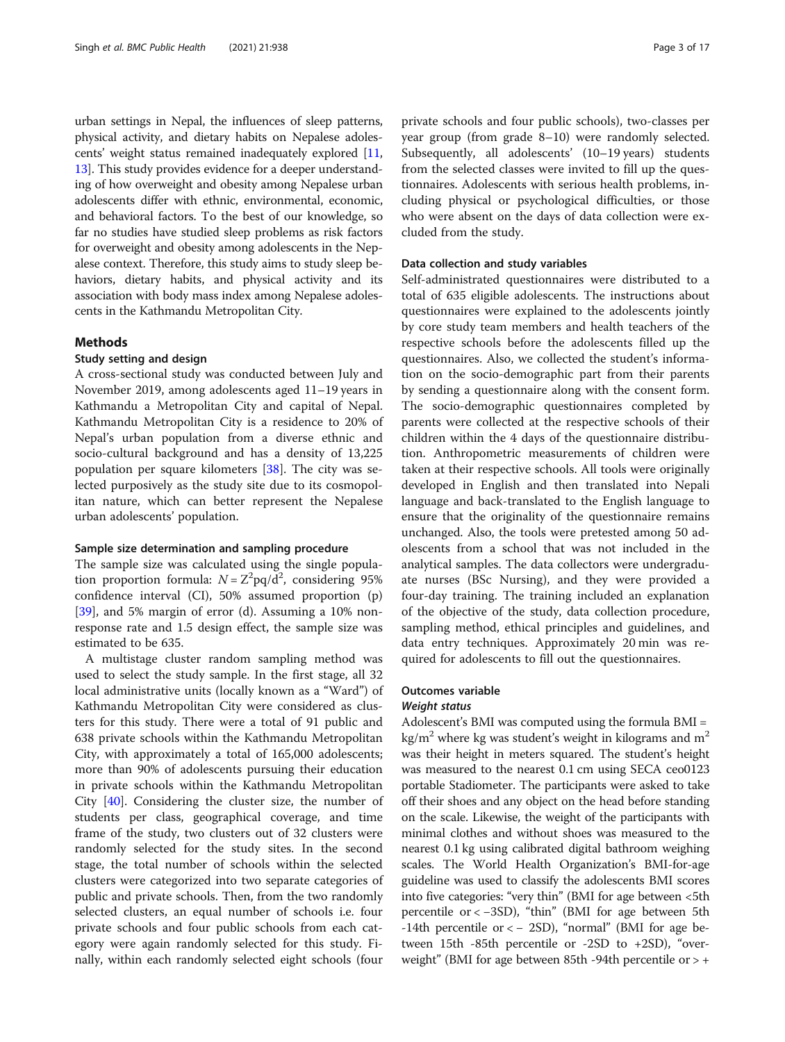urban settings in Nepal, the influences of sleep patterns, physical activity, and dietary habits on Nepalese adolescents' weight status remained inadequately explored [[11](#page-15-0), [13](#page-15-0)]. This study provides evidence for a deeper understanding of how overweight and obesity among Nepalese urban adolescents differ with ethnic, environmental, economic, and behavioral factors. To the best of our knowledge, so far no studies have studied sleep problems as risk factors for overweight and obesity among adolescents in the Nepalese context. Therefore, this study aims to study sleep behaviors, dietary habits, and physical activity and its association with body mass index among Nepalese adolescents in the Kathmandu Metropolitan City.

#### Methods

#### Study setting and design

A cross-sectional study was conducted between July and November 2019, among adolescents aged 11–19 years in Kathmandu a Metropolitan City and capital of Nepal. Kathmandu Metropolitan City is a residence to 20% of Nepal's urban population from a diverse ethnic and socio-cultural background and has a density of 13,225 population per square kilometers [\[38](#page-15-0)]. The city was selected purposively as the study site due to its cosmopolitan nature, which can better represent the Nepalese urban adolescents' population.

#### Sample size determination and sampling procedure

The sample size was calculated using the single population proportion formula:  $N = Z^2 pq/d^2$ , considering 95% confidence interval (CI), 50% assumed proportion (p) [[39\]](#page-15-0), and 5% margin of error (d). Assuming a 10% nonresponse rate and 1.5 design effect, the sample size was estimated to be 635.

A multistage cluster random sampling method was used to select the study sample. In the first stage, all 32 local administrative units (locally known as a "Ward") of Kathmandu Metropolitan City were considered as clusters for this study. There were a total of 91 public and 638 private schools within the Kathmandu Metropolitan City, with approximately a total of 165,000 adolescents; more than 90% of adolescents pursuing their education in private schools within the Kathmandu Metropolitan City [[40](#page-15-0)]. Considering the cluster size, the number of students per class, geographical coverage, and time frame of the study, two clusters out of 32 clusters were randomly selected for the study sites. In the second stage, the total number of schools within the selected clusters were categorized into two separate categories of public and private schools. Then, from the two randomly selected clusters, an equal number of schools i.e. four private schools and four public schools from each category were again randomly selected for this study. Finally, within each randomly selected eight schools (four private schools and four public schools), two-classes per year group (from grade 8–10) were randomly selected. Subsequently, all adolescents' (10–19 years) students from the selected classes were invited to fill up the questionnaires. Adolescents with serious health problems, including physical or psychological difficulties, or those who were absent on the days of data collection were excluded from the study.

#### Data collection and study variables

Self-administrated questionnaires were distributed to a total of 635 eligible adolescents. The instructions about questionnaires were explained to the adolescents jointly by core study team members and health teachers of the respective schools before the adolescents filled up the questionnaires. Also, we collected the student's information on the socio-demographic part from their parents by sending a questionnaire along with the consent form. The socio-demographic questionnaires completed by parents were collected at the respective schools of their children within the 4 days of the questionnaire distribution. Anthropometric measurements of children were taken at their respective schools. All tools were originally developed in English and then translated into Nepali language and back-translated to the English language to ensure that the originality of the questionnaire remains unchanged. Also, the tools were pretested among 50 adolescents from a school that was not included in the analytical samples. The data collectors were undergraduate nurses (BSc Nursing), and they were provided a four-day training. The training included an explanation of the objective of the study, data collection procedure, sampling method, ethical principles and guidelines, and data entry techniques. Approximately 20 min was required for adolescents to fill out the questionnaires.

#### Outcomes variable

#### Weight status

Adolescent's BMI was computed using the formula BMI =  $\text{kg/m}^2$  where kg was student's weight in kilograms and m<sup>2</sup> was their height in meters squared. The student's height was measured to the nearest 0.1 cm using SECA ceo0123 portable Stadiometer. The participants were asked to take off their shoes and any object on the head before standing on the scale. Likewise, the weight of the participants with minimal clothes and without shoes was measured to the nearest 0.1 kg using calibrated digital bathroom weighing scales. The World Health Organization's BMI-for-age guideline was used to classify the adolescents BMI scores into five categories: "very thin" (BMI for age between <5th percentile or < −3SD), "thin" (BMI for age between 5th -14th percentile or < − 2SD), "normal" (BMI for age between 15th -85th percentile or -2SD to +2SD), "overweight" (BMI for age between 85th -94th percentile or  $> +$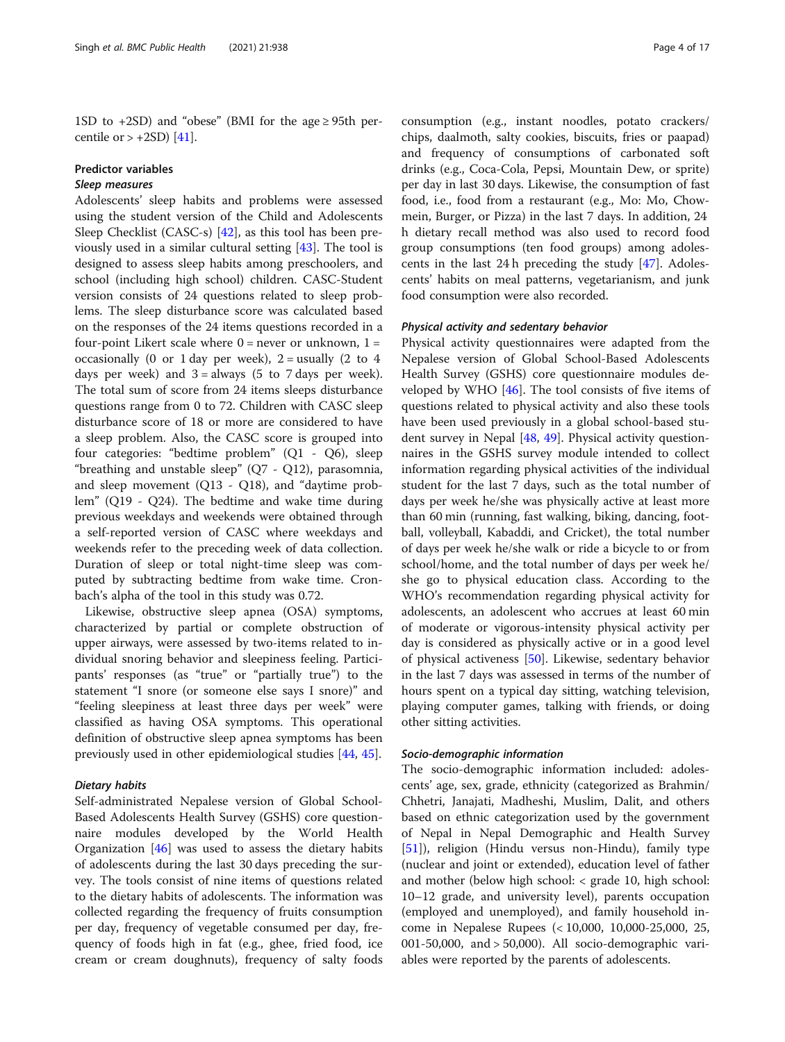1SD to  $+2SD$ ) and "obese" (BMI for the age  $\geq$  95th percentile or  $> +2SD$  [[41](#page-15-0)].

#### Predictor variables

#### Sleep measures

Adolescents' sleep habits and problems were assessed using the student version of the Child and Adolescents Sleep Checklist (CASC-s) [[42\]](#page-15-0), as this tool has been previously used in a similar cultural setting [\[43](#page-15-0)]. The tool is designed to assess sleep habits among preschoolers, and school (including high school) children. CASC-Student version consists of 24 questions related to sleep problems. The sleep disturbance score was calculated based on the responses of the 24 items questions recorded in a four-point Likert scale where  $0 =$  never or unknown,  $1 =$ occasionally (0 or 1 day per week),  $2 =$  usually (2 to 4 days per week) and  $3 =$  always (5 to 7 days per week). The total sum of score from 24 items sleeps disturbance questions range from 0 to 72. Children with CASC sleep disturbance score of 18 or more are considered to have a sleep problem. Also, the CASC score is grouped into four categories: "bedtime problem" (Q1 - Q6), sleep "breathing and unstable sleep" (Q7 - Q12), parasomnia, and sleep movement  $(Q13 - Q18)$ , and "daytime problem" (Q19 - Q24). The bedtime and wake time during previous weekdays and weekends were obtained through a self-reported version of CASC where weekdays and weekends refer to the preceding week of data collection. Duration of sleep or total night-time sleep was computed by subtracting bedtime from wake time. Cronbach's alpha of the tool in this study was 0.72.

Likewise, obstructive sleep apnea (OSA) symptoms, characterized by partial or complete obstruction of upper airways, were assessed by two-items related to individual snoring behavior and sleepiness feeling. Participants' responses (as "true" or "partially true") to the statement "I snore (or someone else says I snore)" and "feeling sleepiness at least three days per week" were classified as having OSA symptoms. This operational definition of obstructive sleep apnea symptoms has been previously used in other epidemiological studies [[44](#page-15-0), [45](#page-15-0)].

#### Dietary habits

Self-administrated Nepalese version of Global School-Based Adolescents Health Survey (GSHS) core questionnaire modules developed by the World Health Organization  $[46]$  $[46]$  was used to assess the dietary habits of adolescents during the last 30 days preceding the survey. The tools consist of nine items of questions related to the dietary habits of adolescents. The information was collected regarding the frequency of fruits consumption per day, frequency of vegetable consumed per day, frequency of foods high in fat (e.g., ghee, fried food, ice cream or cream doughnuts), frequency of salty foods consumption (e.g., instant noodles, potato crackers/ chips, daalmoth, salty cookies, biscuits, fries or paapad) and frequency of consumptions of carbonated soft drinks (e.g., Coca-Cola, Pepsi, Mountain Dew, or sprite) per day in last 30 days. Likewise, the consumption of fast food, i.e., food from a restaurant (e.g., Mo: Mo, Chowmein, Burger, or Pizza) in the last 7 days. In addition, 24 h dietary recall method was also used to record food group consumptions (ten food groups) among adolescents in the last 24 h preceding the study [[47\]](#page-15-0). Adolescents' habits on meal patterns, vegetarianism, and junk food consumption were also recorded.

#### Physical activity and sedentary behavior

Physical activity questionnaires were adapted from the Nepalese version of Global School-Based Adolescents Health Survey (GSHS) core questionnaire modules developed by WHO [[46\]](#page-15-0). The tool consists of five items of questions related to physical activity and also these tools have been used previously in a global school-based student survey in Nepal [[48](#page-15-0), [49\]](#page-15-0). Physical activity questionnaires in the GSHS survey module intended to collect information regarding physical activities of the individual student for the last 7 days, such as the total number of days per week he/she was physically active at least more than 60 min (running, fast walking, biking, dancing, football, volleyball, Kabaddi, and Cricket), the total number of days per week he/she walk or ride a bicycle to or from school/home, and the total number of days per week he/ she go to physical education class. According to the WHO's recommendation regarding physical activity for adolescents, an adolescent who accrues at least 60 min of moderate or vigorous-intensity physical activity per day is considered as physically active or in a good level of physical activeness [[50\]](#page-16-0). Likewise, sedentary behavior in the last 7 days was assessed in terms of the number of hours spent on a typical day sitting, watching television, playing computer games, talking with friends, or doing other sitting activities.

#### Socio-demographic information

The socio-demographic information included: adolescents' age, sex, grade, ethnicity (categorized as Brahmin/ Chhetri, Janajati, Madheshi, Muslim, Dalit, and others based on ethnic categorization used by the government of Nepal in Nepal Demographic and Health Survey [[51\]](#page-16-0)), religion (Hindu versus non-Hindu), family type (nuclear and joint or extended), education level of father and mother (below high school: < grade 10, high school: 10–12 grade, and university level), parents occupation (employed and unemployed), and family household income in Nepalese Rupees (< 10,000, 10,000-25,000, 25, 001-50,000, and > 50,000). All socio-demographic variables were reported by the parents of adolescents.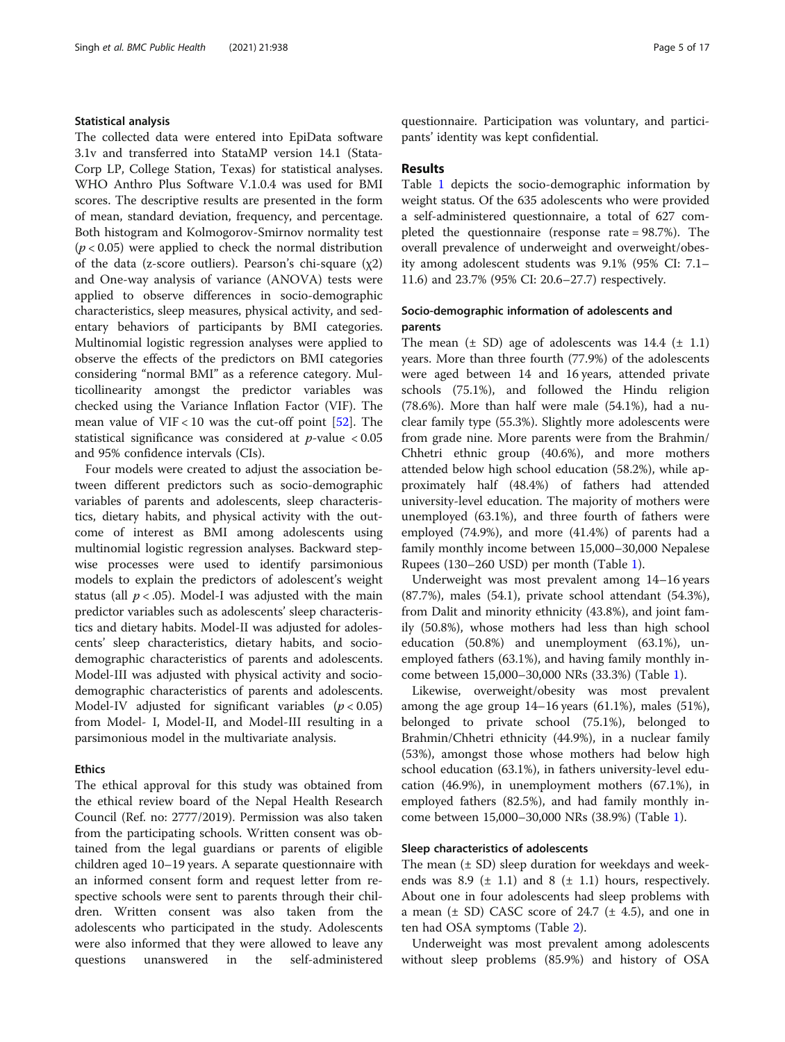#### Statistical analysis

The collected data were entered into EpiData software 3.1v and transferred into StataMP version 14.1 (Stata-Corp LP, College Station, Texas) for statistical analyses. WHO Anthro Plus Software V.1.0.4 was used for BMI scores. The descriptive results are presented in the form of mean, standard deviation, frequency, and percentage. Both histogram and Kolmogorov-Smirnov normality test  $(p < 0.05)$  were applied to check the normal distribution of the data (z-score outliers). Pearson's chi-square  $(\chi 2)$ and One-way analysis of variance (ANOVA) tests were applied to observe differences in socio-demographic characteristics, sleep measures, physical activity, and sedentary behaviors of participants by BMI categories. Multinomial logistic regression analyses were applied to observe the effects of the predictors on BMI categories considering "normal BMI" as a reference category. Multicollinearity amongst the predictor variables was checked using the Variance Inflation Factor (VIF). The mean value of VIF < 10 was the cut-off point  $[52]$ . The statistical significance was considered at  $p$ -value < 0.05 and 95% confidence intervals (CIs).

Four models were created to adjust the association between different predictors such as socio-demographic variables of parents and adolescents, sleep characteristics, dietary habits, and physical activity with the outcome of interest as BMI among adolescents using multinomial logistic regression analyses. Backward stepwise processes were used to identify parsimonious models to explain the predictors of adolescent's weight status (all  $p < .05$ ). Model-I was adjusted with the main predictor variables such as adolescents' sleep characteristics and dietary habits. Model-II was adjusted for adolescents' sleep characteristics, dietary habits, and sociodemographic characteristics of parents and adolescents. Model-III was adjusted with physical activity and sociodemographic characteristics of parents and adolescents. Model-IV adjusted for significant variables  $(p < 0.05)$ from Model- I, Model-II, and Model-III resulting in a parsimonious model in the multivariate analysis.

#### Ethics

The ethical approval for this study was obtained from the ethical review board of the Nepal Health Research Council (Ref. no: 2777/2019). Permission was also taken from the participating schools. Written consent was obtained from the legal guardians or parents of eligible children aged 10–19 years. A separate questionnaire with an informed consent form and request letter from respective schools were sent to parents through their children. Written consent was also taken from the adolescents who participated in the study. Adolescents were also informed that they were allowed to leave any questions unanswered in the self-administered questionnaire. Participation was voluntary, and participants' identity was kept confidential.

#### Results

Table [1](#page-5-0) depicts the socio-demographic information by weight status. Of the 635 adolescents who were provided a self-administered questionnaire, a total of 627 completed the questionnaire (response rate = 98.7%). The overall prevalence of underweight and overweight/obesity among adolescent students was 9.1% (95% CI: 7.1– 11.6) and 23.7% (95% CI: 20.6–27.7) respectively.

#### Socio-demographic information of adolescents and parents

The mean  $(\pm$  SD) age of adolescents was 14.4  $(\pm$  1.1) years. More than three fourth (77.9%) of the adolescents were aged between 14 and 16 years, attended private schools (75.1%), and followed the Hindu religion (78.6%). More than half were male (54.1%), had a nuclear family type (55.3%). Slightly more adolescents were from grade nine. More parents were from the Brahmin/ Chhetri ethnic group (40.6%), and more mothers attended below high school education (58.2%), while approximately half (48.4%) of fathers had attended university-level education. The majority of mothers were unemployed (63.1%), and three fourth of fathers were employed (74.9%), and more (41.4%) of parents had a family monthly income between 15,000–30,000 Nepalese Rupees (130–260 USD) per month (Table [1](#page-5-0)).

Underweight was most prevalent among 14–16 years (87.7%), males (54.1), private school attendant (54.3%), from Dalit and minority ethnicity (43.8%), and joint family (50.8%), whose mothers had less than high school education (50.8%) and unemployment (63.1%), unemployed fathers (63.1%), and having family monthly income between 15,000–30,000 NRs (33.3%) (Table [1\)](#page-5-0).

Likewise, overweight/obesity was most prevalent among the age group 14–16 years (61.1%), males (51%), belonged to private school (75.1%), belonged to Brahmin/Chhetri ethnicity (44.9%), in a nuclear family (53%), amongst those whose mothers had below high school education (63.1%), in fathers university-level education (46.9%), in unemployment mothers (67.1%), in employed fathers (82.5%), and had family monthly income between 15,000–30,000 NRs (38.9%) (Table [1\)](#page-5-0).

#### Sleep characteristics of adolescents

The mean  $(\pm SD)$  sleep duration for weekdays and weekends was 8.9  $(\pm 1.1)$  and 8  $(\pm 1.1)$  hours, respectively. About one in four adolescents had sleep problems with a mean  $(\pm$  SD) CASC score of 24.7  $(\pm$  4.5), and one in ten had OSA symptoms (Table [2\)](#page-7-0).

Underweight was most prevalent among adolescents without sleep problems (85.9%) and history of OSA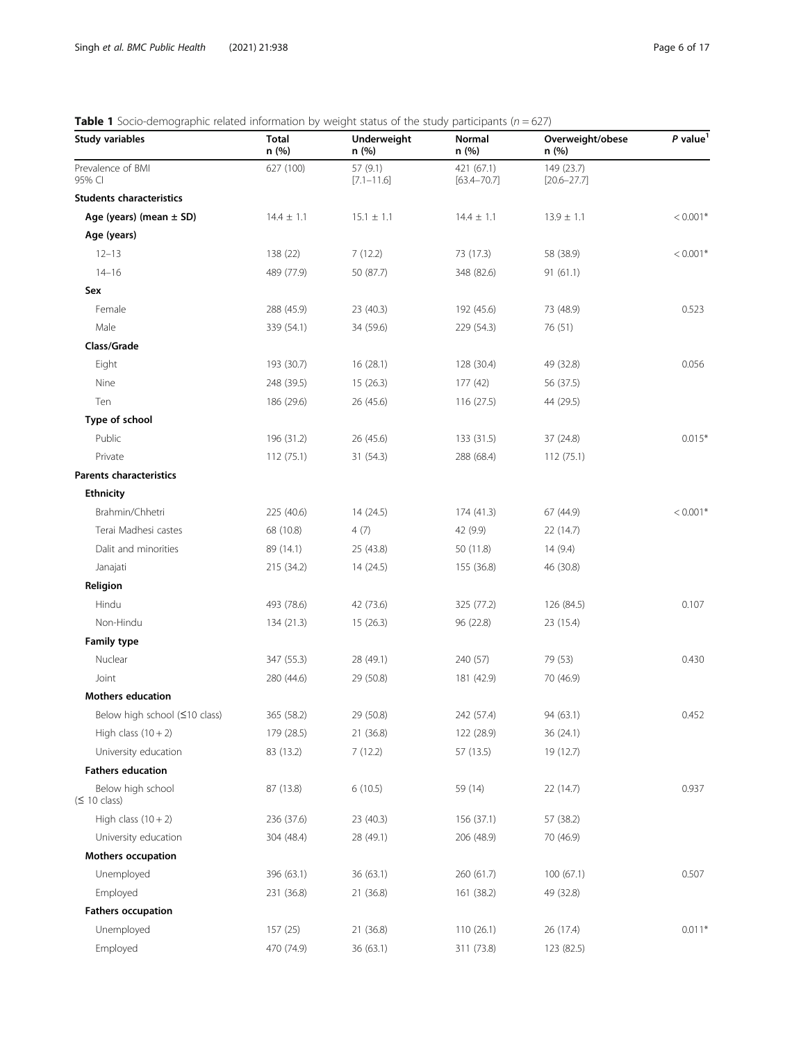# <span id="page-5-0"></span>**Table 1** Socio-demographic related information by weight status of the study participants ( $n = 627$ )

| <b>Study variables</b>             | <b>Total</b><br>n (%) | Underweight<br>n (%)       | <b>Normal</b><br>n (%)        | Overweight/obese<br>n (%)     | $P$ value <sup>1</sup> |
|------------------------------------|-----------------------|----------------------------|-------------------------------|-------------------------------|------------------------|
| Prevalence of BMI<br>95% CI        | 627 (100)             | 57 (9.1)<br>$[7.1 - 11.6]$ | 421 (67.1)<br>$[63.4 - 70.7]$ | 149 (23.7)<br>$[20.6 - 27.7]$ |                        |
| <b>Students characteristics</b>    |                       |                            |                               |                               |                        |
| Age (years) (mean $\pm$ SD)        | $14.4 \pm 1.1$        | $15.1 \pm 1.1$             | $14.4 \pm 1.1$                | $13.9 \pm 1.1$                | $< 0.001*$             |
| Age (years)                        |                       |                            |                               |                               |                        |
| $12 - 13$                          | 138 (22)              | 7(12.2)                    | 73 (17.3)                     | 58 (38.9)                     | $< 0.001*$             |
| $14 - 16$                          | 489 (77.9)            | 50 (87.7)                  | 348 (82.6)                    | 91(61.1)                      |                        |
| Sex                                |                       |                            |                               |                               |                        |
| Female                             | 288 (45.9)            | 23 (40.3)                  | 192 (45.6)                    | 73 (48.9)                     | 0.523                  |
| Male                               | 339 (54.1)            | 34 (59.6)                  | 229 (54.3)                    | 76 (51)                       |                        |
| Class/Grade                        |                       |                            |                               |                               |                        |
| Eight                              | 193 (30.7)            | 16 (28.1)                  | 128 (30.4)                    | 49 (32.8)                     | 0.056                  |
| Nine                               | 248 (39.5)            | 15 (26.3)                  | 177(42)                       | 56 (37.5)                     |                        |
| Ten                                | 186 (29.6)            | 26 (45.6)                  | 116 (27.5)                    | 44 (29.5)                     |                        |
| Type of school                     |                       |                            |                               |                               |                        |
| Public                             | 196 (31.2)            | 26 (45.6)                  | 133 (31.5)                    | 37 (24.8)                     | $0.015*$               |
| Private                            | 112(75.1)             | 31 (54.3)                  | 288 (68.4)                    | 112(75.1)                     |                        |
| <b>Parents characteristics</b>     |                       |                            |                               |                               |                        |
| <b>Ethnicity</b>                   |                       |                            |                               |                               |                        |
| Brahmin/Chhetri                    | 225 (40.6)            | 14 (24.5)                  | 174 (41.3)                    | 67 (44.9)                     | $< 0.001*$             |
| Terai Madhesi castes               | 68 (10.8)             | 4(7)                       | 42 (9.9)                      | 22 (14.7)                     |                        |
| Dalit and minorities               | 89 (14.1)             | 25 (43.8)                  | 50 (11.8)                     | 14(9.4)                       |                        |
| Janajati                           | 215 (34.2)            | 14 (24.5)                  | 155 (36.8)                    | 46 (30.8)                     |                        |
| Religion                           |                       |                            |                               |                               |                        |
| Hindu                              | 493 (78.6)            | 42 (73.6)                  | 325 (77.2)                    | 126 (84.5)                    | 0.107                  |
| Non-Hindu                          | 134 (21.3)            | 15(26.3)                   | 96 (22.8)                     | 23 (15.4)                     |                        |
| <b>Family type</b>                 |                       |                            |                               |                               |                        |
| Nuclear                            | 347 (55.3)            | 28 (49.1)                  | 240 (57)                      | 79 (53)                       | 0.430                  |
| Joint                              | 280 (44.6)            | 29 (50.8)                  | 181 (42.9)                    | 70 (46.9)                     |                        |
| <b>Mothers education</b>           |                       |                            |                               |                               |                        |
| Below high school (≤10 class)      | 365 (58.2)            | 29 (50.8)                  | 242 (57.4)                    | 94 (63.1)                     | 0.452                  |
| High class $(10 + 2)$              | 179 (28.5)            | 21 (36.8)                  | 122 (28.9)                    | 36 (24.1)                     |                        |
| University education               | 83 (13.2)             | 7(12.2)                    | 57 (13.5)                     | 19 (12.7)                     |                        |
| <b>Fathers education</b>           |                       |                            |                               |                               |                        |
| Below high school<br>$($ 10 class) | 87 (13.8)             | 6(10.5)                    | 59 (14)                       | 22 (14.7)                     | 0.937                  |
| High class $(10 + 2)$              | 236 (37.6)            | 23 (40.3)                  | 156 (37.1)                    | 57 (38.2)                     |                        |
| University education               | 304 (48.4)            | 28 (49.1)                  | 206 (48.9)                    | 70 (46.9)                     |                        |
| <b>Mothers occupation</b>          |                       |                            |                               |                               |                        |
| Unemployed                         | 396 (63.1)            | 36 (63.1)                  | 260 (61.7)                    | 100(67.1)                     | 0.507                  |
| Employed                           | 231 (36.8)            | 21 (36.8)                  | 161 (38.2)                    | 49 (32.8)                     |                        |
| <b>Fathers occupation</b>          |                       |                            |                               |                               |                        |
| Unemployed                         | 157 (25)              | 21 (36.8)                  | 110 (26.1)                    | 26 (17.4)                     | $0.011*$               |
| Employed                           | 470 (74.9)            | 36 (63.1)                  | 311 (73.8)                    | 123 (82.5)                    |                        |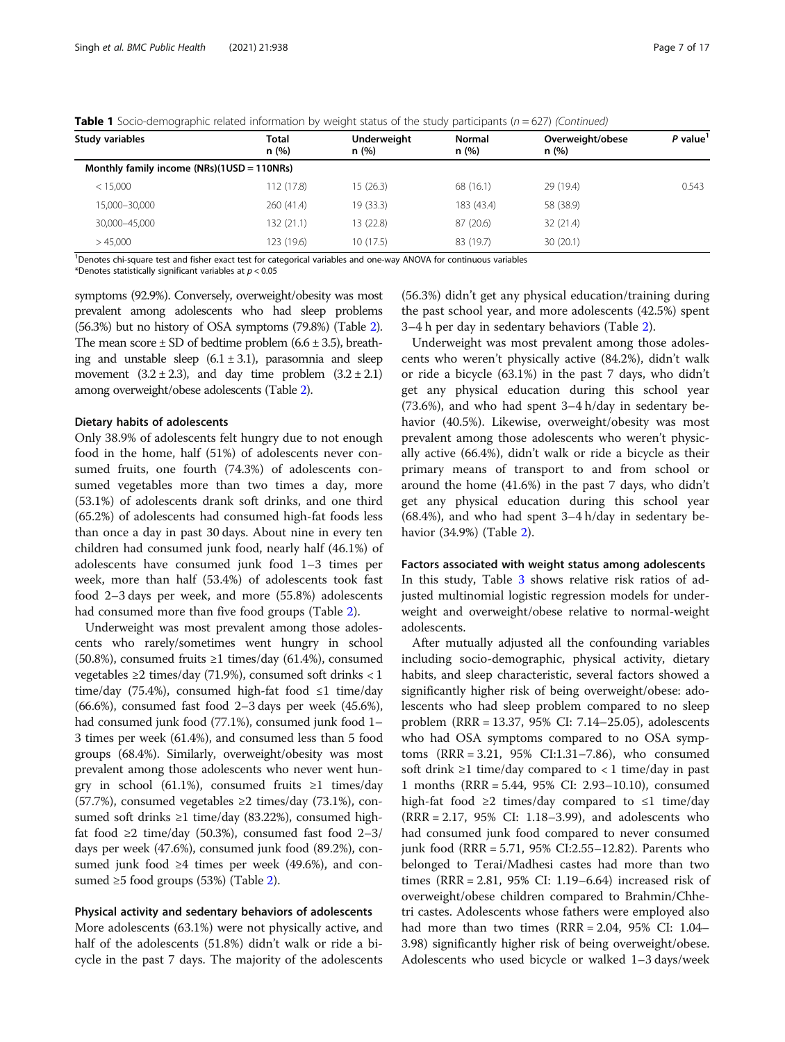| Study variables                              | <b>Total</b><br>n (%) | Underweight<br>n(%) | <b>Normal</b><br>n(%) | Overweight/obese<br>n(%) | P value |
|----------------------------------------------|-----------------------|---------------------|-----------------------|--------------------------|---------|
| Monthly family income $(NRs)(1USD = 110NRs)$ |                       |                     |                       |                          |         |
| < 15,000                                     | 112 (17.8)            | 15(26.3)            | 68 (16.1)             | 29 (19.4)                | 0.543   |
| 15,000-30,000                                | 260 (41.4)            | 19 (33.3)           | 183 (43.4)            | 58 (38.9)                |         |
| 30,000-45,000                                | 132 (21.1)            | 13 (22.8)           | 87 (20.6)             | 32(21.4)                 |         |
| >45.000                                      | 123 (19.6)            | 10(17.5)            | 83 (19.7)             | 30(20.1)                 |         |

**Table 1** Socio-demographic related information by weight status of the study participants ( $n = 627$ ) (Continued)

<sup>1</sup>Denotes chi-square test and fisher exact test for categorical variables and one-way ANOVA for continuous variables

\*Denotes statistically significant variables at  $p < 0.05$ 

symptoms (92.9%). Conversely, overweight/obesity was most prevalent among adolescents who had sleep problems (56.3%) but no history of OSA symptoms (79.8%) (Table [2\)](#page-7-0). The mean score  $\pm$  SD of bedtime problem (6.6  $\pm$  3.5), breathing and unstable sleep  $(6.1 \pm 3.1)$ , parasomnia and sleep movement  $(3.2 \pm 2.3)$ , and day time problem  $(3.2 \pm 2.1)$ among overweight/obese adolescents (Table [2\)](#page-7-0).

#### Dietary habits of adolescents

Only 38.9% of adolescents felt hungry due to not enough food in the home, half (51%) of adolescents never consumed fruits, one fourth (74.3%) of adolescents consumed vegetables more than two times a day, more (53.1%) of adolescents drank soft drinks, and one third (65.2%) of adolescents had consumed high-fat foods less than once a day in past 30 days. About nine in every ten children had consumed junk food, nearly half (46.1%) of adolescents have consumed junk food 1–3 times per week, more than half (53.4%) of adolescents took fast food 2–3 days per week, and more (55.8%) adolescents had consumed more than five food groups (Table [2](#page-7-0)).

Underweight was most prevalent among those adolescents who rarely/sometimes went hungry in school (50.8%), consumed fruits  $\geq 1$  times/day (61.4%), consumed vegetables ≥2 times/day (71.9%), consumed soft drinks < 1 time/day (75.4%), consumed high-fat food  $\leq 1$  time/day (66.6%), consumed fast food 2–3 days per week (45.6%), had consumed junk food (77.1%), consumed junk food 1– 3 times per week (61.4%), and consumed less than 5 food groups (68.4%). Similarly, overweight/obesity was most prevalent among those adolescents who never went hungry in school (61.1%), consumed fruits  $\geq 1$  times/day (57.7%), consumed vegetables  $\geq$ 2 times/day (73.1%), consumed soft drinks ≥1 time/day (83.22%), consumed highfat food ≥2 time/day (50.3%), consumed fast food 2–3/ days per week (47.6%), consumed junk food (89.2%), consumed junk food ≥4 times per week  $(49.6%)$ , and consumed  $\geq 5$  food groups (53%) (Table [2](#page-7-0)).

#### Physical activity and sedentary behaviors of adolescents

More adolescents (63.1%) were not physically active, and half of the adolescents (51.8%) didn't walk or ride a bicycle in the past 7 days. The majority of the adolescents

(56.3%) didn't get any physical education/training during the past school year, and more adolescents (42.5%) spent 3–4 h per day in sedentary behaviors (Table [2](#page-7-0)).

Underweight was most prevalent among those adolescents who weren't physically active (84.2%), didn't walk or ride a bicycle (63.1%) in the past 7 days, who didn't get any physical education during this school year (73.6%), and who had spent 3–4 h/day in sedentary behavior (40.5%). Likewise, overweight/obesity was most prevalent among those adolescents who weren't physically active (66.4%), didn't walk or ride a bicycle as their primary means of transport to and from school or around the home (41.6%) in the past 7 days, who didn't get any physical education during this school year (68.4%), and who had spent 3–4 h/day in sedentary behavior (34.9%) (Table [2](#page-7-0)).

Factors associated with weight status among adolescents In this study, Table [3](#page-9-0) shows relative risk ratios of adjusted multinomial logistic regression models for underweight and overweight/obese relative to normal-weight adolescents.

After mutually adjusted all the confounding variables including socio-demographic, physical activity, dietary habits, and sleep characteristic, several factors showed a significantly higher risk of being overweight/obese: adolescents who had sleep problem compared to no sleep problem (RRR = 13.37, 95% CI: 7.14–25.05), adolescents who had OSA symptoms compared to no OSA symptoms (RRR = 3.21, 95% CI:1.31–7.86), who consumed soft drink  $\geq 1$  time/day compared to < 1 time/day in past 1 months (RRR = 5.44, 95% CI: 2.93–10.10), consumed high-fat food  $\geq 2$  times/day compared to  $\leq 1$  time/day (RRR = 2.17, 95% CI: 1.18–3.99), and adolescents who had consumed junk food compared to never consumed junk food (RRR = 5.71, 95% CI:2.55–12.82). Parents who belonged to Terai/Madhesi castes had more than two times (RRR = 2.81, 95% CI: 1.19–6.64) increased risk of overweight/obese children compared to Brahmin/Chhetri castes. Adolescents whose fathers were employed also had more than two times  $(RRR = 2.04, 95\% \text{ CI: } 1.04$ -3.98) significantly higher risk of being overweight/obese. Adolescents who used bicycle or walked 1–3 days/week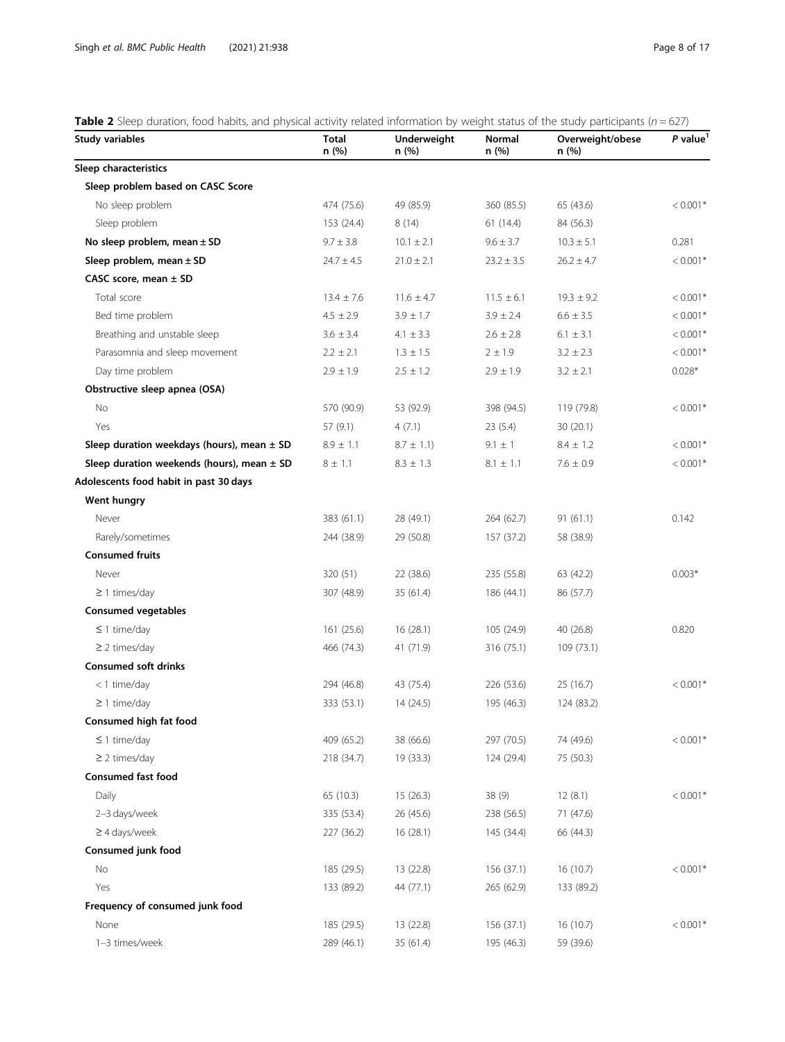### <span id="page-7-0"></span>**Table 2** Sleep duration, food habits, and physical activity related information by weight status of the study participants ( $n = 627$ )

| Study variables                                | <b>Total</b><br>n(%) | Underweight<br>n (%) | Normal<br>n (%) | Overweight/obese<br>n (%) | $P$ value <sup>1</sup> |
|------------------------------------------------|----------------------|----------------------|-----------------|---------------------------|------------------------|
| Sleep characteristics                          |                      |                      |                 |                           |                        |
| Sleep problem based on CASC Score              |                      |                      |                 |                           |                        |
| No sleep problem                               | 474 (75.6)           | 49 (85.9)            | 360 (85.5)      | 65 (43.6)                 | $< 0.001*$             |
| Sleep problem                                  | 153 (24.4)           | 8(14)                | 61(14.4)        | 84 (56.3)                 |                        |
| No sleep problem, mean $\pm$ SD                | $9.7 \pm 3.8$        | $10.1 \pm 2.1$       | $9.6 \pm 3.7$   | $10.3 \pm 5.1$            | 0.281                  |
| Sleep problem, mean $\pm$ SD                   | $24.7 \pm 4.5$       | $21.0 \pm 2.1$       | $23.2 \pm 3.5$  | $26.2 \pm 4.7$            | $< 0.001*$             |
| CASC score, mean $\pm$ SD                      |                      |                      |                 |                           |                        |
| Total score                                    | $13.4 \pm 7.6$       | $11.6 \pm 4.7$       | $11.5 \pm 6.1$  | $19.3 \pm 9.2$            | $< 0.001*$             |
| Bed time problem                               | $4.5 \pm 2.9$        | $3.9 \pm 1.7$        | $3.9 \pm 2.4$   | $6.6 \pm 3.5$             | $< 0.001*$             |
| Breathing and unstable sleep                   | $3.6 \pm 3.4$        | 4.1 $\pm$ 3.3        | $2.6 \pm 2.8$   | $6.1 \pm 3.1$             | $< 0.001*$             |
| Parasomnia and sleep movement                  | $2.2 \pm 2.1$        | $1.3 \pm 1.5$        | $2 \pm 1.9$     | $3.2 \pm 2.3$             | $< 0.001*$             |
| Day time problem                               | $2.9 \pm 1.9$        | $2.5 \pm 1.2$        | $2.9 \pm 1.9$   | $3.2 \pm 2.1$             | $0.028*$               |
| Obstructive sleep apnea (OSA)                  |                      |                      |                 |                           |                        |
| No                                             | 570 (90.9)           | 53 (92.9)            | 398 (94.5)      | 119 (79.8)                | $< 0.001*$             |
| Yes                                            | 57 (9.1)             | 4(7.1)               | 23(5.4)         | 30(20.1)                  |                        |
| Sleep duration weekdays (hours), mean $\pm$ SD | $8.9 \pm 1.1$        | $8.7 \pm 1.1$ )      | $9.1 \pm 1$     | $8.4 \pm 1.2$             | $< 0.001*$             |
| Sleep duration weekends (hours), mean $\pm$ SD | $8 \pm 1.1$          | $8.3 \pm 1.3$        | $8.1 \pm 1.1$   | $7.6 \pm 0.9$             | $< 0.001*$             |
| Adolescents food habit in past 30 days         |                      |                      |                 |                           |                        |
| Went hungry                                    |                      |                      |                 |                           |                        |
| Never                                          | 383 (61.1)           | 28 (49.1)            | 264 (62.7)      | 91(61.1)                  | 0.142                  |
| Rarely/sometimes                               | 244 (38.9)           | 29 (50.8)            | 157 (37.2)      | 58 (38.9)                 |                        |
| <b>Consumed fruits</b>                         |                      |                      |                 |                           |                        |
| Never                                          | 320 (51)             | 22(38.6)             | 235 (55.8)      | 63 (42.2)                 | $0.003*$               |
| $\geq$ 1 times/day                             | 307 (48.9)           | 35 (61.4)            | 186 (44.1)      | 86 (57.7)                 |                        |
| <b>Consumed vegetables</b>                     |                      |                      |                 |                           |                        |
| $\leq$ 1 time/day                              | 161(25.6)            | 16(28.1)             | 105 (24.9)      | 40 (26.8)                 | 0.820                  |
| $\geq$ 2 times/day                             | 466 (74.3)           | 41 (71.9)            | 316 (75.1)      | 109 (73.1)                |                        |
| <b>Consumed soft drinks</b>                    |                      |                      |                 |                           |                        |
| < 1 time/day                                   | 294 (46.8)           | 43 (75.4)            | 226 (53.6)      | 25 (16.7)                 | $< 0.001*$             |
| $\geq$ 1 time/day                              | 333 (53.1)           | 14 (24.5)            | 195 (46.3)      | 124 (83.2)                |                        |
| Consumed high fat food                         |                      |                      |                 |                           |                        |
| $\leq$ 1 time/day                              | 409 (65.2)           | 38 (66.6)            | 297 (70.5)      | 74 (49.6)                 | $< 0.001*$             |
| $\geq$ 2 times/day                             | 218 (34.7)           | 19 (33.3)            | 124 (29.4)      | 75 (50.3)                 |                        |
| <b>Consumed fast food</b>                      |                      |                      |                 |                           |                        |
| Daily                                          | 65 (10.3)            | 15(26.3)             | 38(9)           | 12(8.1)                   | $< 0.001*$             |
| 2-3 days/week                                  | 335 (53.4)           | 26 (45.6)            | 238 (56.5)      | 71 (47.6)                 |                        |
| $\geq$ 4 days/week                             | 227 (36.2)           | 16(28.1)             | 145 (34.4)      | 66 (44.3)                 |                        |
| Consumed junk food                             |                      |                      |                 |                           |                        |
| No                                             | 185 (29.5)           | 13 (22.8)            | 156 (37.1)      | 16 (10.7)                 | $< 0.001*$             |
| Yes                                            | 133 (89.2)           | 44 (77.1)            | 265 (62.9)      | 133 (89.2)                |                        |
| Frequency of consumed junk food                |                      |                      |                 |                           |                        |
| None                                           | 185 (29.5)           | 13 (22.8)            | 156 (37.1)      | 16(10.7)                  | $< 0.001*$             |
| 1-3 times/week                                 | 289 (46.1)           | 35 (61.4)            | 195 (46.3)      | 59 (39.6)                 |                        |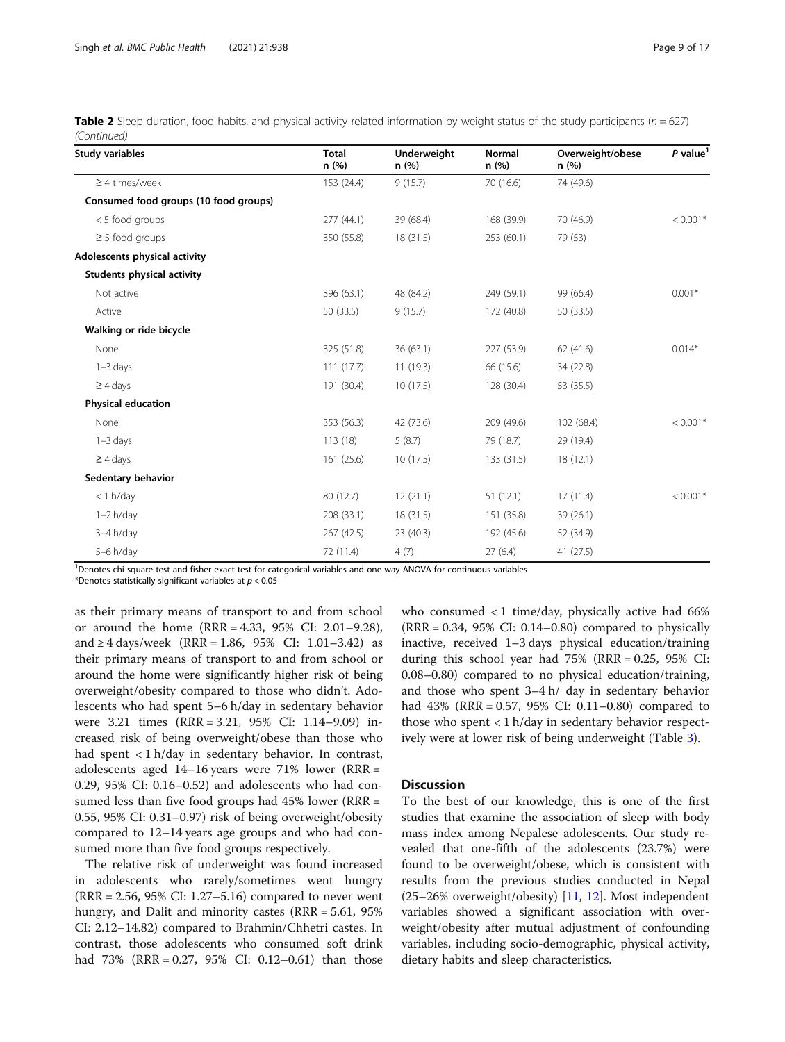|             | Table 2 Sleep duration, food habits, and physical activity related information by weight status of the study participants ( $n = 627$ ) |  |  |  |
|-------------|-----------------------------------------------------------------------------------------------------------------------------------------|--|--|--|
| (Continued) |                                                                                                                                         |  |  |  |

| <b>Study variables</b>                | <b>Total</b><br>n(%) | <b>Underweight</b><br>n(%) | <b>Normal</b><br>n(%) | Overweight/obese<br>n (%) | P value <sup>1</sup> |
|---------------------------------------|----------------------|----------------------------|-----------------------|---------------------------|----------------------|
| $\geq$ 4 times/week                   | 153 (24.4)           | 9(15.7)                    | 70 (16.6)             | 74 (49.6)                 |                      |
| Consumed food groups (10 food groups) |                      |                            |                       |                           |                      |
| < 5 food groups                       | 277(44.1)            | 39 (68.4)                  | 168 (39.9)            | 70 (46.9)                 | $< 0.001*$           |
| $\geq$ 5 food groups                  | 350 (55.8)           | 18 (31.5)                  | 253(60.1)             | 79 (53)                   |                      |
| Adolescents physical activity         |                      |                            |                       |                           |                      |
| <b>Students physical activity</b>     |                      |                            |                       |                           |                      |
| Not active                            | 396 (63.1)           | 48 (84.2)                  | 249 (59.1)            | 99 (66.4)                 | $0.001*$             |
| Active                                | 50 (33.5)            | 9(15.7)                    | 172 (40.8)            | 50 (33.5)                 |                      |
| Walking or ride bicycle               |                      |                            |                       |                           |                      |
| None                                  | 325 (51.8)           | 36(63.1)                   | 227 (53.9)            | 62(41.6)                  | $0.014*$             |
| $1-3$ days                            | 111(17.7)            | 11(19.3)                   | 66 (15.6)             | 34 (22.8)                 |                      |
| $\geq$ 4 days                         | 191 (30.4)           | 10(17.5)                   | 128 (30.4)            | 53 (35.5)                 |                      |
| <b>Physical education</b>             |                      |                            |                       |                           |                      |
| None                                  | 353 (56.3)           | 42 (73.6)                  | 209 (49.6)            | 102 (68.4)                | $< 0.001*$           |
| $1-3$ days                            | 113(18)              | 5(8.7)                     | 79 (18.7)             | 29 (19.4)                 |                      |
| $\geq$ 4 days                         | 161 (25.6)           | 10(17.5)                   | 133 (31.5)            | 18(12.1)                  |                      |
| Sedentary behavior                    |                      |                            |                       |                           |                      |
| $<$ 1 h/day                           | 80 (12.7)            | 12(21.1)                   | 51(12.1)              | 17(11.4)                  | $< 0.001*$           |
| $1-2 h/day$                           | 208 (33.1)           | 18 (31.5)                  | 151 (35.8)            | 39 (26.1)                 |                      |
| $3-4 h/day$                           | 267 (42.5)           | 23 (40.3)                  | 192 (45.6)            | 52 (34.9)                 |                      |
| 5-6 h/day                             | 72 (11.4)            | 4(7)                       | 27(6.4)               | 41 (27.5)                 |                      |

<sup>1</sup>Denotes chi-square test and fisher exact test for categorical variables and one-way ANOVA for continuous variables

\*Denotes statistically significant variables at  $p < 0.05$ 

as their primary means of transport to and from school or around the home (RRR = 4.33, 95% CI: 2.01–9.28), and ≥ 4 days/week (RRR = 1.86, 95% CI: 1.01–3.42) as their primary means of transport to and from school or around the home were significantly higher risk of being overweight/obesity compared to those who didn't. Adolescents who had spent 5–6 h/day in sedentary behavior were 3.21 times (RRR = 3.21, 95% CI: 1.14–9.09) increased risk of being overweight/obese than those who had spent < 1 h/day in sedentary behavior. In contrast, adolescents aged 14–16 years were 71% lower (RRR = 0.29, 95% CI: 0.16–0.52) and adolescents who had consumed less than five food groups had 45% lower (RRR = 0.55, 95% CI: 0.31–0.97) risk of being overweight/obesity compared to 12–14 years age groups and who had consumed more than five food groups respectively.

The relative risk of underweight was found increased in adolescents who rarely/sometimes went hungry (RRR = 2.56, 95% CI: 1.27–5.16) compared to never went hungry, and Dalit and minority castes (RRR = 5.61, 95% CI: 2.12–14.82) compared to Brahmin/Chhetri castes. In contrast, those adolescents who consumed soft drink had 73% (RRR = 0.27, 95% CI: 0.12–0.61) than those who consumed < 1 time/day, physically active had 66%  $(RRR = 0.34, 95\% \text{ CI: } 0.14 - 0.80)$  compared to physically inactive, received 1–3 days physical education/training during this school year had  $75\%$  (RRR = 0.25, 95% CI: 0.08–0.80) compared to no physical education/training, and those who spent 3–4 h/ day in sedentary behavior had 43% (RRR = 0.57, 95% CI: 0.11–0.80) compared to those who spent  $\langle 1 \text{ h}/\text{day} \rangle$  in sedentary behavior respectively were at lower risk of being underweight (Table [3](#page-9-0)).

#### **Discussion**

To the best of our knowledge, this is one of the first studies that examine the association of sleep with body mass index among Nepalese adolescents. Our study revealed that one-fifth of the adolescents (23.7%) were found to be overweight/obese, which is consistent with results from the previous studies conducted in Nepal (25–26% overweight/obesity) [[11,](#page-15-0) [12\]](#page-15-0). Most independent variables showed a significant association with overweight/obesity after mutual adjustment of confounding variables, including socio-demographic, physical activity, dietary habits and sleep characteristics.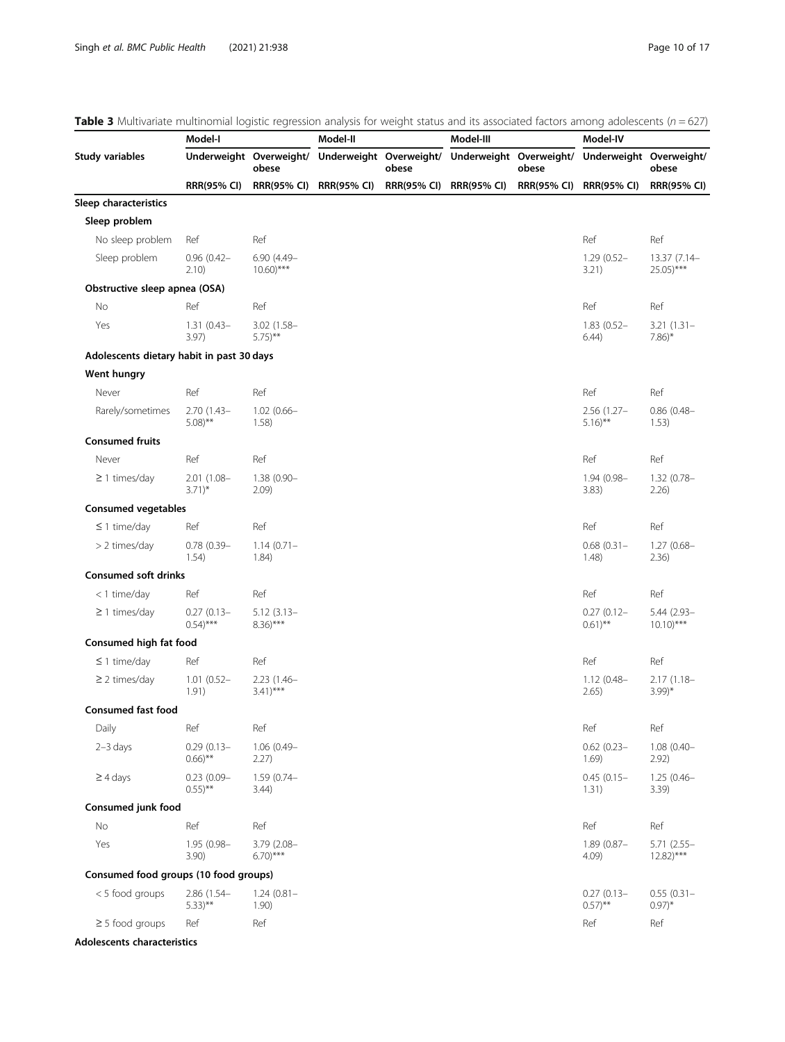<span id="page-9-0"></span>

|                                           | Model-I                               |                                         | Table 3 Multivariate multinomial logistic regression analysis for weight status and its associated factors among adolescents ( $n = 627$ )<br>Model-II |       | Model-III               |                    | Model-IV                              |                                         |
|-------------------------------------------|---------------------------------------|-----------------------------------------|--------------------------------------------------------------------------------------------------------------------------------------------------------|-------|-------------------------|--------------------|---------------------------------------|-----------------------------------------|
|                                           |                                       |                                         | Underweight Overweight/ Underweight Overweight/                                                                                                        |       |                         |                    | Underweight Overweight/               |                                         |
| Study variables                           |                                       | Underweight Overweight/<br>obese        |                                                                                                                                                        | obese |                         | obese              |                                       | obese                                   |
|                                           | <b>RRR(95% CI)</b>                    |                                         | RRR(95% CI) RRR(95% CI)                                                                                                                                |       | RRR(95% CI) RRR(95% CI) | <b>RRR(95% CI)</b> | <b>RRR(95% CI)</b>                    | <b>RRR(95% CI)</b>                      |
| Sleep characteristics                     |                                       |                                         |                                                                                                                                                        |       |                         |                    |                                       |                                         |
| Sleep problem                             |                                       |                                         |                                                                                                                                                        |       |                         |                    |                                       |                                         |
| No sleep problem                          | Ref                                   | Ref                                     |                                                                                                                                                        |       |                         |                    | Ref                                   | Ref                                     |
| Sleep problem                             | $0.96(0.42 -$<br>2.10)                | $6.90(4.49 -$<br>$10.60$ <sup>***</sup> |                                                                                                                                                        |       |                         |                    | $1.29(0.52 -$<br>3.21)                | 13.37 (7.14-<br>$25.05$ <sup>***</sup>  |
| Obstructive sleep apnea (OSA)             |                                       |                                         |                                                                                                                                                        |       |                         |                    |                                       |                                         |
| No                                        | Ref                                   | Ref                                     |                                                                                                                                                        |       |                         |                    | Ref                                   | Ref                                     |
| Yes                                       | $1.31(0.43 -$<br>3.97)                | $3.02(1.58 -$<br>$5.75$ <sup>**</sup>   |                                                                                                                                                        |       |                         |                    | $1.83(0.52 -$<br>6.44)                | $3.21(1.31 -$<br>$7.86$ <sup>*</sup>    |
| Adolescents dietary habit in past 30 days |                                       |                                         |                                                                                                                                                        |       |                         |                    |                                       |                                         |
| Went hungry                               |                                       |                                         |                                                                                                                                                        |       |                         |                    |                                       |                                         |
| Never                                     | Ref                                   | Ref                                     |                                                                                                                                                        |       |                         |                    | Ref                                   | Ref                                     |
| Rarely/sometimes                          | $2.70(1.43-$<br>$5.08$ <sup>**</sup>  | $1.02(0.66 -$<br>$1.58$ )               |                                                                                                                                                        |       |                         |                    | $2.56(1.27 -$<br>$5.16$ <sup>**</sup> | $0.86(0.48 -$<br>1.53)                  |
| <b>Consumed fruits</b>                    |                                       |                                         |                                                                                                                                                        |       |                         |                    |                                       |                                         |
| Never                                     | Ref                                   | Ref                                     |                                                                                                                                                        |       |                         |                    | Ref                                   | Ref                                     |
| $\geq$ 1 times/day                        | 2.01 (1.08-<br>$3.71$ <sup>*</sup>    | $1.38(0.90 -$<br>2.09)                  |                                                                                                                                                        |       |                         |                    | $1.94(0.98 -$<br>3.83)                | $1.32(0.78 -$<br>2.26                   |
| <b>Consumed vegetables</b>                |                                       |                                         |                                                                                                                                                        |       |                         |                    |                                       |                                         |
| $\leq$ 1 time/day                         | Ref                                   | Ref                                     |                                                                                                                                                        |       |                         |                    | Ref                                   | Ref                                     |
| > 2 times/day                             | $0.78(0.39 -$<br>1.54)                | $1.14(0.71 -$<br>1.84)                  |                                                                                                                                                        |       |                         |                    | $0.68(0.31 -$<br>1.48)                | $1.27(0.68 -$<br>2.36)                  |
| <b>Consumed soft drinks</b>               |                                       |                                         |                                                                                                                                                        |       |                         |                    |                                       |                                         |
| <1 time/day                               | Ref                                   | Ref                                     |                                                                                                                                                        |       |                         |                    | Ref                                   | Ref                                     |
| $\geq$ 1 times/day                        | $0.27(0.13 -$<br>$(0.54)$ ***         | $5.12(3.13 -$<br>$8.36$ <sup>***</sup>  |                                                                                                                                                        |       |                         |                    | $0.27(0.12 -$<br>$0.61$ <sup>**</sup> | $5.44(2.93 -$<br>$10.10$ <sup>***</sup> |
| Consumed high fat food                    |                                       |                                         |                                                                                                                                                        |       |                         |                    |                                       |                                         |
| $\leq$ 1 time/day                         | Ref                                   | Ref                                     |                                                                                                                                                        |       |                         |                    | Ref                                   | Ref                                     |
| $\geq$ 2 times/day                        | $1.01(0.52 -$<br>1.91)                | $2.23(1.46 -$<br>$3.41)***$             |                                                                                                                                                        |       |                         |                    | $1.12(0.48 -$<br>2.65)                | $2.17(1.18 -$<br>$3.99$ <sup>*</sup>    |
| <b>Consumed fast food</b>                 |                                       |                                         |                                                                                                                                                        |       |                         |                    |                                       |                                         |
| Daily                                     | Ref                                   | Ref                                     |                                                                                                                                                        |       |                         |                    | Ref                                   | Ref                                     |
| $2-3$ days                                | $0.29(0.13 -$<br>$0.66$ <sup>**</sup> | $1.06(0.49 -$<br>2.27)                  |                                                                                                                                                        |       |                         |                    | $0.62(0.23 -$<br>1.69)                | $1.08(0.40 -$<br>2.92)                  |
| $\geq$ 4 days                             | $0.23(0.09 -$<br>$0.55$ <sup>**</sup> | $1.59(0.74 -$<br>3.44)                  |                                                                                                                                                        |       |                         |                    | $0.45(0.15 -$<br>1.31)                | $1.25(0.46 -$<br>3.39)                  |
| Consumed junk food                        |                                       |                                         |                                                                                                                                                        |       |                         |                    |                                       |                                         |
| No                                        | Ref                                   | Ref                                     |                                                                                                                                                        |       |                         |                    | Ref                                   | Ref                                     |
| Yes                                       | 1.95 (0.98-<br>3.90)                  | $3.79(2.08 -$<br>$6.70$ <sup>***</sup>  |                                                                                                                                                        |       |                         |                    | $1.89(0.87 -$<br>4.09)                | $5.71(2.55 -$<br>$12.82$ <sup>***</sup> |
| Consumed food groups (10 food groups)     |                                       |                                         |                                                                                                                                                        |       |                         |                    |                                       |                                         |
| < 5 food groups                           | $2.86$ (1.54-<br>$5.33)$ **           | $1.24(0.81 -$<br>1.90)                  |                                                                                                                                                        |       |                         |                    | $0.27(0.13 -$<br>$(0.57)$ **          | $0.55(0.31 -$<br>$0.97$ <sup>*</sup>    |
| $\geq$ 5 food groups                      | Ref                                   | Ref                                     |                                                                                                                                                        |       |                         |                    | Ref                                   | Ref                                     |
| Adolescents characteristics               |                                       |                                         |                                                                                                                                                        |       |                         |                    |                                       |                                         |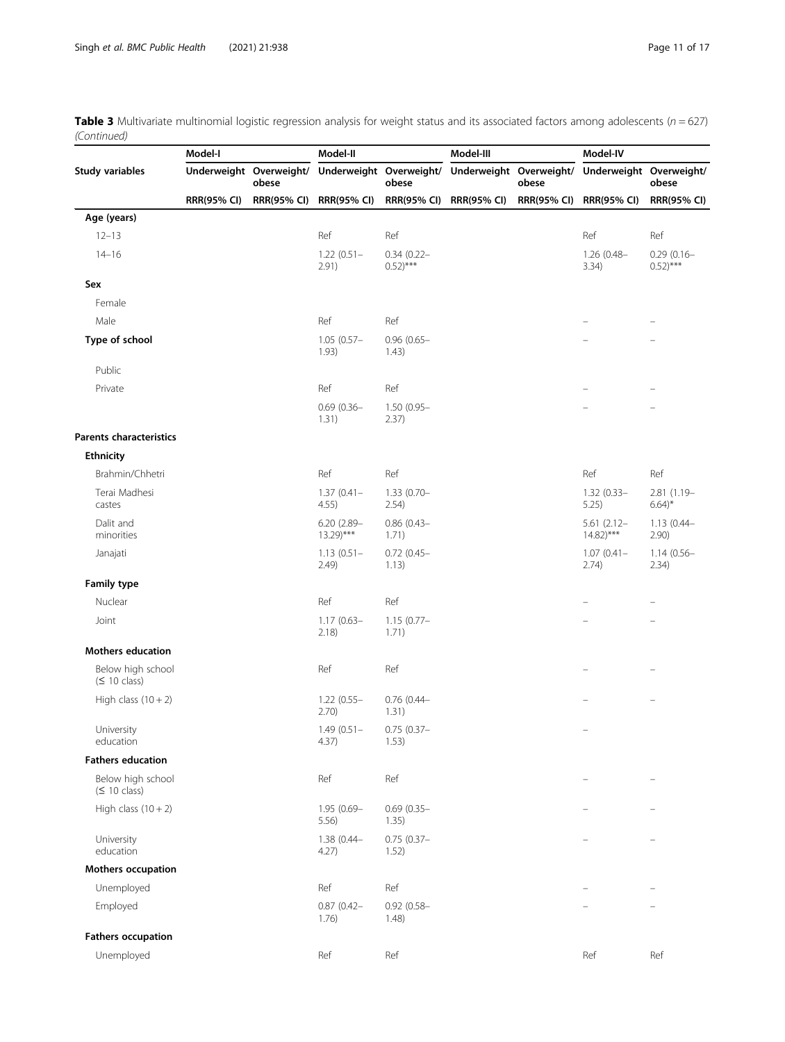**Table 3** Multivariate multinomial logistic regression analysis for weight status and its associated factors among adolescents ( $n = 627$ ) (Continued)  $\overline{\phantom{a}}$ 

|                                                | Model-I                 |                    | Model-II                                |                                        | Model-III               |                    | Model-IV                                |                                        |
|------------------------------------------------|-------------------------|--------------------|-----------------------------------------|----------------------------------------|-------------------------|--------------------|-----------------------------------------|----------------------------------------|
| <b>Study variables</b>                         | Underweight Overweight/ | obese              | Underweight Overweight/                 | obese                                  | Underweight Overweight/ | obese              | Underweight Overweight/                 | obese                                  |
|                                                | <b>RRR(95% CI)</b>      | <b>RRR(95% CI)</b> | <b>RRR(95% CI)</b>                      | <b>RRR(95% CI)</b>                     | <b>RRR(95% CI)</b>      | <b>RRR(95% CI)</b> | <b>RRR(95% CI)</b>                      | <b>RRR(95% CI)</b>                     |
| Age (years)                                    |                         |                    |                                         |                                        |                         |                    |                                         |                                        |
| $12 - 13$                                      |                         |                    | Ref                                     | Ref                                    |                         |                    | Ref                                     | Ref                                    |
| $14 - 16$                                      |                         |                    | $1.22(0.51 -$<br>2.91)                  | $0.34(0.22 -$<br>$0.52$ <sup>***</sup> |                         |                    | $1.26(0.48 -$<br>3.34)                  | $0.29(0.16 -$<br>$0.52$ <sup>***</sup> |
| Sex                                            |                         |                    |                                         |                                        |                         |                    |                                         |                                        |
| Female                                         |                         |                    |                                         |                                        |                         |                    |                                         |                                        |
| Male                                           |                         |                    | Ref                                     | Ref                                    |                         |                    |                                         |                                        |
| Type of school                                 |                         |                    | $1.05(0.57 -$<br>1.93)                  | $0.96(0.65 -$<br>1.43)                 |                         |                    |                                         |                                        |
| Public                                         |                         |                    |                                         |                                        |                         |                    |                                         |                                        |
| Private                                        |                         |                    | Ref                                     | Ref                                    |                         |                    |                                         |                                        |
|                                                |                         |                    | $0.69(0.36 -$<br>1.31)                  | $1.50(0.95 -$<br>2.37)                 |                         |                    |                                         |                                        |
| <b>Parents characteristics</b>                 |                         |                    |                                         |                                        |                         |                    |                                         |                                        |
| Ethnicity                                      |                         |                    |                                         |                                        |                         |                    |                                         |                                        |
| Brahmin/Chhetri                                |                         |                    | Ref                                     | Ref                                    |                         |                    | Ref                                     | Ref                                    |
| Terai Madhesi<br>castes                        |                         |                    | $1.37(0.41 -$<br>4.55)                  | $1.33(0.70 -$<br>2.54)                 |                         |                    | $1.32(0.33 -$<br>5.25)                  | 2.81 (1.19-<br>$6.64$ <sup>*</sup>     |
| Dalit and<br>minorities                        |                         |                    | $6.20(2.89 -$<br>$13.29$ <sup>***</sup> | $0.86(0.43 -$<br>1.71)                 |                         |                    | $5.61(2.12 -$<br>$14.82$ <sup>***</sup> | $1.13(0.44 -$<br>2.90)                 |
| Janajati                                       |                         |                    | $1.13(0.51 -$<br>2.49)                  | $0.72(0.45 -$<br>1.13)                 |                         |                    | $1.07(0.41 -$<br>2.74)                  | $1.14(0.56 -$<br>2.34)                 |
| <b>Family type</b>                             |                         |                    |                                         |                                        |                         |                    |                                         |                                        |
| Nuclear                                        |                         |                    | Ref                                     | Ref                                    |                         |                    |                                         |                                        |
| Joint                                          |                         |                    | $1.17(0.63 -$<br>2.18)                  | $1.15(0.77 -$<br>1.71)                 |                         |                    |                                         | $\overline{\phantom{m}}$               |
| <b>Mothers education</b>                       |                         |                    |                                         |                                        |                         |                    |                                         |                                        |
| Below high school<br>(S 10 class)              |                         |                    | Ref                                     | Ref                                    |                         |                    |                                         |                                        |
| High class $(10 + 2)$                          |                         |                    | $1.22(0.55 -$<br>2.70)                  | $0.76$ (0.44-<br>1.31)                 |                         |                    |                                         |                                        |
| University<br>education                        |                         |                    | $1.49(0.51 -$<br>4.37)                  | $0.75(0.37 -$<br>1.53)                 |                         |                    | $\overline{\phantom{0}}$                |                                        |
| <b>Fathers education</b>                       |                         |                    |                                         |                                        |                         |                    |                                         |                                        |
| Below high school<br>$(\leq 10 \text{ class})$ |                         |                    | Ref                                     | Ref                                    |                         |                    | $\equiv$                                | $\overline{\phantom{m}}$               |
| High class $(10 + 2)$                          |                         |                    | 1.95 (0.69-<br>5.56)                    | $0.69(0.35 -$<br>1.35)                 |                         |                    |                                         |                                        |
| University<br>education                        |                         |                    | $1.38(0.44 -$<br>4.27)                  | $0.75(0.37 -$<br>1.52)                 |                         |                    |                                         |                                        |
| Mothers occupation                             |                         |                    |                                         |                                        |                         |                    |                                         |                                        |
| Unemployed                                     |                         |                    | Ref                                     | Ref                                    |                         |                    |                                         |                                        |
| Employed                                       |                         |                    | $0.87(0.42 -$<br>1.76)                  | $0.92(0.58 -$<br>1.48)                 |                         |                    |                                         |                                        |
| <b>Fathers occupation</b>                      |                         |                    |                                         |                                        |                         |                    |                                         |                                        |
| Unemployed                                     |                         |                    | Ref                                     | Ref                                    |                         |                    | Ref                                     | Ref                                    |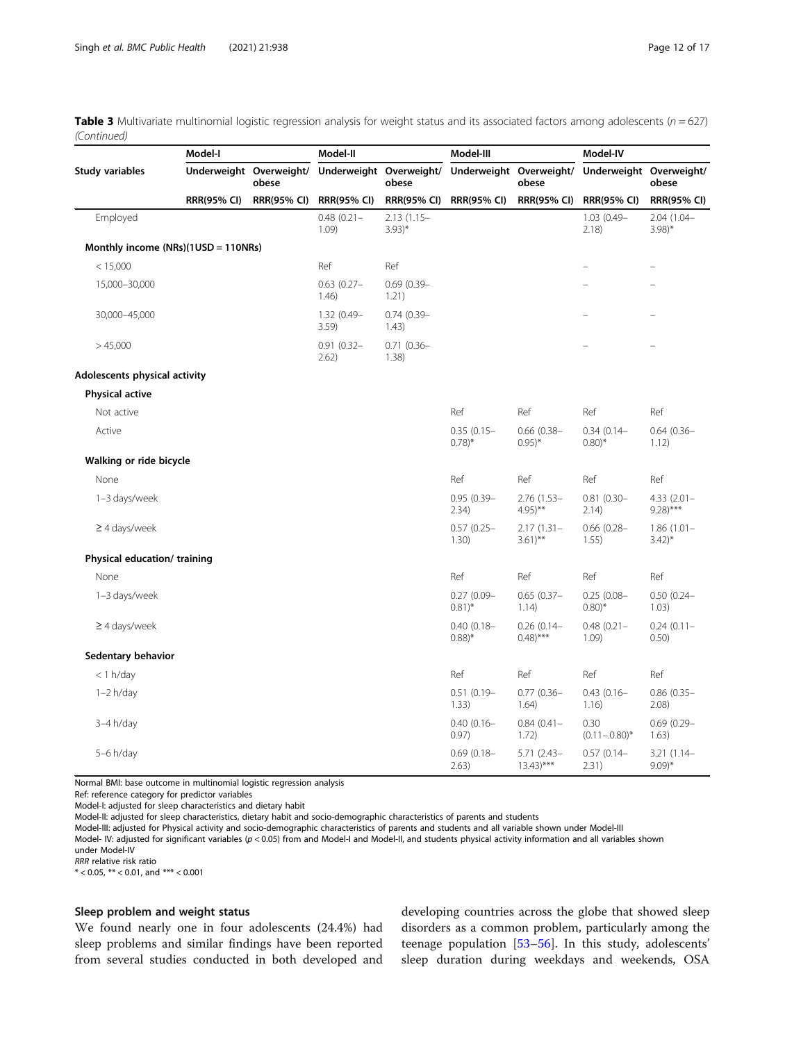**Table 3** Multivariate multinomial logistic regression analysis for weight status and its associated factors among adolescents ( $n = 627$ ) (Continued)

|                                     | Model-I                 |                    | Model-II               |                                  | Model-III                            |                                         | Model-IV                             |                                        |
|-------------------------------------|-------------------------|--------------------|------------------------|----------------------------------|--------------------------------------|-----------------------------------------|--------------------------------------|----------------------------------------|
| Study variables                     | Underweight Overweight/ | obese              |                        | Underweight Overweight/<br>obese | Underweight Overweight/              | obese                                   | Underweight Overweight/              | obese                                  |
|                                     | <b>RRR(95% CI)</b>      | <b>RRR(95% CI)</b> | <b>RRR(95% CI)</b>     | <b>RRR(95% CI)</b>               | <b>RRR(95% CI)</b>                   | <b>RRR(95% CI)</b>                      | <b>RRR(95% CI)</b>                   | <b>RRR(95% CI)</b>                     |
| Employed                            |                         |                    | $0.48(0.21 -$<br>1.09  | $2.13(1.15 -$<br>$3.93)*$        |                                      |                                         | $1.03(0.49 -$<br>2.18                | $2.04(1.04 -$<br>$3.98$ <sup>*</sup>   |
| Monthly income (NRs)(1USD = 110NRs) |                         |                    |                        |                                  |                                      |                                         |                                      |                                        |
| < 15,000                            |                         |                    | Ref                    | Ref                              |                                      |                                         |                                      |                                        |
| 15,000-30,000                       |                         |                    | $0.63(0.27 -$<br>1.46) | $0.69(0.39 -$<br>1.21)           |                                      |                                         |                                      |                                        |
| 30,000-45,000                       |                         |                    | 1.32 (0.49-<br>3.59)   | $0.74(0.39 -$<br>1.43)           |                                      |                                         |                                      |                                        |
| >45,000                             |                         |                    | $0.91(0.32 -$<br>2.62) | $0.71(0.36 -$<br>1.38)           |                                      |                                         |                                      |                                        |
| Adolescents physical activity       |                         |                    |                        |                                  |                                      |                                         |                                      |                                        |
| <b>Physical active</b>              |                         |                    |                        |                                  |                                      |                                         |                                      |                                        |
| Not active                          |                         |                    |                        |                                  | Ref                                  | Ref                                     | Ref                                  | Ref                                    |
| Active                              |                         |                    |                        |                                  | $0.35(0.15 -$<br>$0.78$ <sup>*</sup> | $0.66$ $(0.38 -$<br>$0.95$ <sup>*</sup> | $0.34(0.14 -$<br>$0.80$ <sup>*</sup> | $0.64(0.36 -$<br>1.12)                 |
| Walking or ride bicycle             |                         |                    |                        |                                  |                                      |                                         |                                      |                                        |
| None                                |                         |                    |                        |                                  | Ref                                  | Ref                                     | Ref                                  | Ref                                    |
| 1-3 days/week                       |                         |                    |                        |                                  | $0.95(0.39 -$<br>2.34)               | $2.76(1.53 -$<br>$4.95$ <sup>**</sup>   | $0.81(0.30 -$<br>2.14)               | $4.33(2.01 -$<br>$9.28$ <sup>***</sup> |
| $\geq$ 4 days/week                  |                         |                    |                        |                                  | $0.57(0.25 -$<br>1.30)               | $2.17(1.31 -$<br>$3.61$ <sup>**</sup>   | $0.66(0.28 -$<br>1.55)               | $1.86(1.01 -$<br>$3.42$ <sup>*</sup>   |
| Physical education/ training        |                         |                    |                        |                                  |                                      |                                         |                                      |                                        |
| None                                |                         |                    |                        |                                  | Ref                                  | Ref                                     | Ref                                  | Ref                                    |
| 1-3 days/week                       |                         |                    |                        |                                  | $0.27(0.09 -$<br>$0.81$ <sup>*</sup> | $0.65(0.37 -$<br>1.14)                  | $0.25(0.08 -$<br>$0.80$ <sup>*</sup> | $0.50(0.24 -$<br>1.03)                 |
| $\geq$ 4 days/week                  |                         |                    |                        |                                  | $0.40(0.18 -$<br>$0.88$ <sup>*</sup> | $0.26(0.14 -$<br>$0.48$ <sup>***</sup>  | $0.48(0.21 -$<br>1.09                | $0.24(0.11 -$<br>0.50)                 |
| Sedentary behavior                  |                         |                    |                        |                                  |                                      |                                         |                                      |                                        |
| $<$ 1 h/day                         |                         |                    |                        |                                  | Ref                                  | Ref                                     | Ref                                  | Ref                                    |
| $1-2 h/day$                         |                         |                    |                        |                                  | $0.51(0.19 -$<br>1.33)               | $0.77(0.36 -$<br>1.64)                  | $0.43(0.16 -$<br>1.16)               | $0.86(0.35 -$<br>2.08)                 |
| $3-4 h/day$                         |                         |                    |                        |                                  | $0.40(0.16 -$<br>0.97)               | $0.84(0.41 -$<br>1.72)                  | 0.30<br>$(0.11 - 0.80)^*$            | $0.69(0.29 -$<br>1.63)                 |
| $5-6$ h/day                         |                         |                    |                        |                                  | $0.69(0.18 -$<br>2.63)               | $5.71(2.43 -$<br>$13.43$ <sup>***</sup> | $0.57(0.14 -$<br>2.31)               | $3.21(1.14-$<br>$9.09$ <sup>*</sup>    |

Normal BMI: base outcome in multinomial logistic regression analysis

Ref: reference category for predictor variables

Model-I: adjusted for sleep characteristics and dietary habit

Model-II: adjusted for sleep characteristics, dietary habit and socio-demographic characteristics of parents and students

Model-III: adjusted for Physical activity and socio-demographic characteristics of parents and students and all variable shown under Model-III

Model- IV: adjusted for significant variables (p < 0.05) from and Model-I and Model-II, and students physical activity information and all variables shown under Model-IV

RRR relative risk ratio

 $* < 0.05$ ,  $** < 0.01$ , and  $*** < 0.001$ 

#### Sleep problem and weight status

We found nearly one in four adolescents (24.4%) had sleep problems and similar findings have been reported from several studies conducted in both developed and

developing countries across the globe that showed sleep disorders as a common problem, particularly among the teenage population [\[53](#page-16-0)–[56\]](#page-16-0). In this study, adolescents' sleep duration during weekdays and weekends, OSA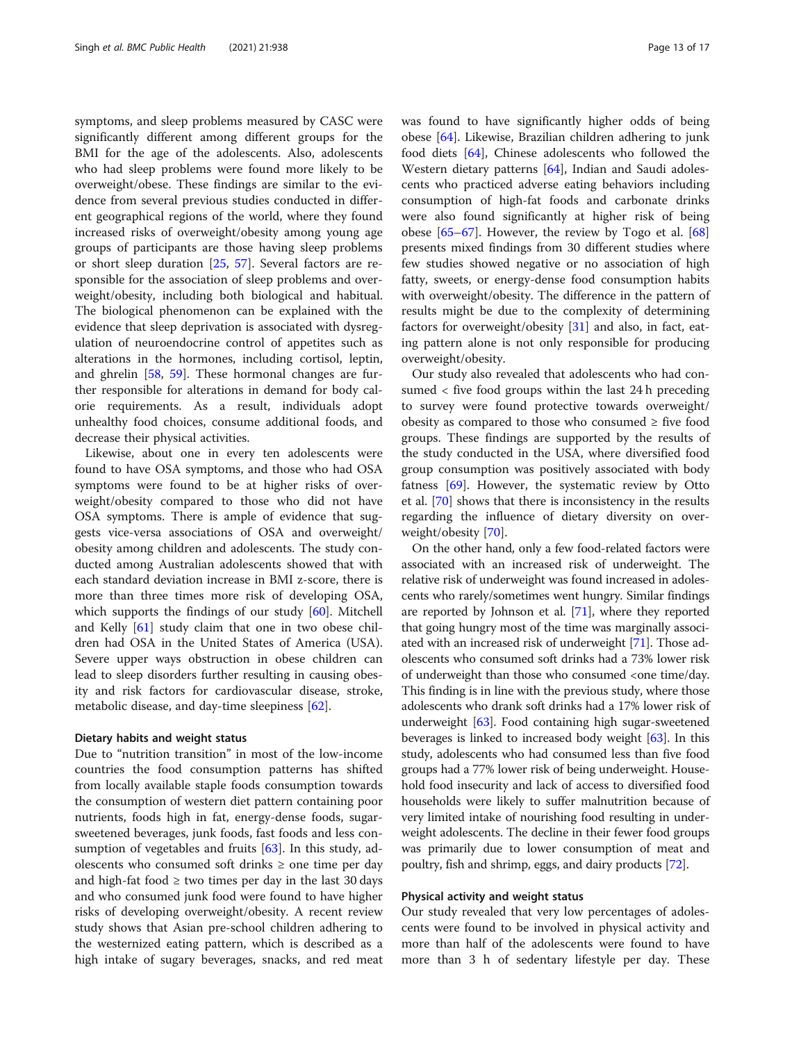symptoms, and sleep problems measured by CASC were significantly different among different groups for the BMI for the age of the adolescents. Also, adolescents who had sleep problems were found more likely to be overweight/obese. These findings are similar to the evidence from several previous studies conducted in different geographical regions of the world, where they found increased risks of overweight/obesity among young age groups of participants are those having sleep problems or short sleep duration [[25,](#page-15-0) [57\]](#page-16-0). Several factors are responsible for the association of sleep problems and overweight/obesity, including both biological and habitual. The biological phenomenon can be explained with the evidence that sleep deprivation is associated with dysregulation of neuroendocrine control of appetites such as alterations in the hormones, including cortisol, leptin, and ghrelin [\[58](#page-16-0), [59\]](#page-16-0). These hormonal changes are further responsible for alterations in demand for body calorie requirements. As a result, individuals adopt unhealthy food choices, consume additional foods, and decrease their physical activities.

Likewise, about one in every ten adolescents were found to have OSA symptoms, and those who had OSA symptoms were found to be at higher risks of overweight/obesity compared to those who did not have OSA symptoms. There is ample of evidence that suggests vice-versa associations of OSA and overweight/ obesity among children and adolescents. The study conducted among Australian adolescents showed that with each standard deviation increase in BMI z-score, there is more than three times more risk of developing OSA, which supports the findings of our study [\[60](#page-16-0)]. Mitchell and Kelly [[61\]](#page-16-0) study claim that one in two obese children had OSA in the United States of America (USA). Severe upper ways obstruction in obese children can lead to sleep disorders further resulting in causing obesity and risk factors for cardiovascular disease, stroke, metabolic disease, and day-time sleepiness [\[62](#page-16-0)].

#### Dietary habits and weight status

Due to "nutrition transition" in most of the low-income countries the food consumption patterns has shifted from locally available staple foods consumption towards the consumption of western diet pattern containing poor nutrients, foods high in fat, energy-dense foods, sugarsweetened beverages, junk foods, fast foods and less consumption of vegetables and fruits  $[63]$  $[63]$ . In this study, adolescents who consumed soft drinks  $\geq$  one time per day and high-fat food  $\geq$  two times per day in the last 30 days and who consumed junk food were found to have higher risks of developing overweight/obesity. A recent review study shows that Asian pre-school children adhering to the westernized eating pattern, which is described as a high intake of sugary beverages, snacks, and red meat was found to have significantly higher odds of being obese [\[64](#page-16-0)]. Likewise, Brazilian children adhering to junk food diets [\[64\]](#page-16-0), Chinese adolescents who followed the Western dietary patterns [\[64](#page-16-0)], Indian and Saudi adolescents who practiced adverse eating behaviors including consumption of high-fat foods and carbonate drinks were also found significantly at higher risk of being obese  $[65–67]$  $[65–67]$  $[65–67]$  $[65–67]$  $[65–67]$ . However, the review by Togo et al.  $[68]$  $[68]$  $[68]$ presents mixed findings from 30 different studies where few studies showed negative or no association of high fatty, sweets, or energy-dense food consumption habits with overweight/obesity. The difference in the pattern of results might be due to the complexity of determining factors for overweight/obesity [\[31](#page-15-0)] and also, in fact, eating pattern alone is not only responsible for producing overweight/obesity.

Our study also revealed that adolescents who had consumed < five food groups within the last 24 h preceding to survey were found protective towards overweight/ obesity as compared to those who consumed  $\geq$  five food groups. These findings are supported by the results of the study conducted in the USA, where diversified food group consumption was positively associated with body fatness [\[69](#page-16-0)]. However, the systematic review by Otto et al. [[70](#page-16-0)] shows that there is inconsistency in the results regarding the influence of dietary diversity on overweight/obesity [[70\]](#page-16-0).

On the other hand, only a few food-related factors were associated with an increased risk of underweight. The relative risk of underweight was found increased in adolescents who rarely/sometimes went hungry. Similar findings are reported by Johnson et al. [\[71](#page-16-0)], where they reported that going hungry most of the time was marginally associated with an increased risk of underweight [[71](#page-16-0)]. Those adolescents who consumed soft drinks had a 73% lower risk of underweight than those who consumed <one time/day. This finding is in line with the previous study, where those adolescents who drank soft drinks had a 17% lower risk of underweight [[63](#page-16-0)]. Food containing high sugar-sweetened beverages is linked to increased body weight [[63](#page-16-0)]. In this study, adolescents who had consumed less than five food groups had a 77% lower risk of being underweight. Household food insecurity and lack of access to diversified food households were likely to suffer malnutrition because of very limited intake of nourishing food resulting in underweight adolescents. The decline in their fewer food groups was primarily due to lower consumption of meat and poultry, fish and shrimp, eggs, and dairy products [\[72\]](#page-16-0).

#### Physical activity and weight status

Our study revealed that very low percentages of adolescents were found to be involved in physical activity and more than half of the adolescents were found to have more than 3 h of sedentary lifestyle per day. These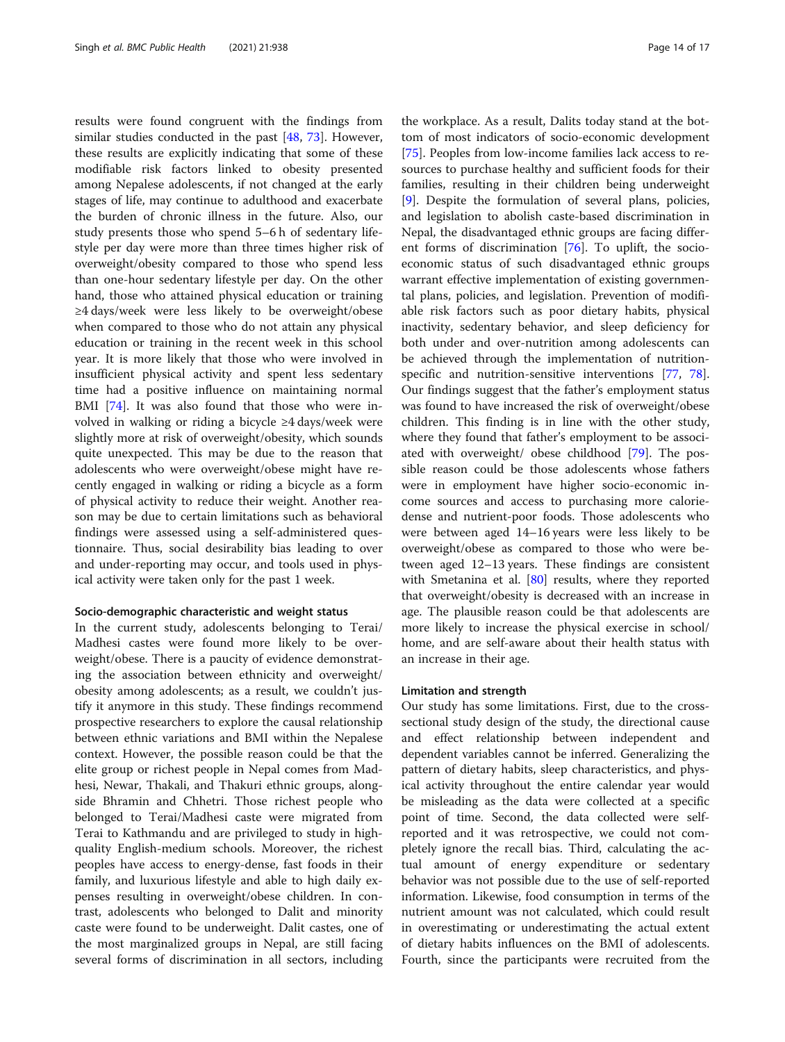results were found congruent with the findings from similar studies conducted in the past [[48](#page-15-0), [73\]](#page-16-0). However, these results are explicitly indicating that some of these modifiable risk factors linked to obesity presented among Nepalese adolescents, if not changed at the early stages of life, may continue to adulthood and exacerbate the burden of chronic illness in the future. Also, our study presents those who spend 5–6 h of sedentary lifestyle per day were more than three times higher risk of overweight/obesity compared to those who spend less than one-hour sedentary lifestyle per day. On the other hand, those who attained physical education or training ≥4 days/week were less likely to be overweight/obese when compared to those who do not attain any physical education or training in the recent week in this school year. It is more likely that those who were involved in insufficient physical activity and spent less sedentary time had a positive influence on maintaining normal BMI [\[74\]](#page-16-0). It was also found that those who were involved in walking or riding a bicycle ≥4 days/week were slightly more at risk of overweight/obesity, which sounds quite unexpected. This may be due to the reason that adolescents who were overweight/obese might have recently engaged in walking or riding a bicycle as a form of physical activity to reduce their weight. Another reason may be due to certain limitations such as behavioral findings were assessed using a self-administered questionnaire. Thus, social desirability bias leading to over and under-reporting may occur, and tools used in physical activity were taken only for the past 1 week.

#### Socio-demographic characteristic and weight status

In the current study, adolescents belonging to Terai/ Madhesi castes were found more likely to be overweight/obese. There is a paucity of evidence demonstrating the association between ethnicity and overweight/ obesity among adolescents; as a result, we couldn't justify it anymore in this study. These findings recommend prospective researchers to explore the causal relationship between ethnic variations and BMI within the Nepalese context. However, the possible reason could be that the elite group or richest people in Nepal comes from Madhesi, Newar, Thakali, and Thakuri ethnic groups, alongside Bhramin and Chhetri. Those richest people who belonged to Terai/Madhesi caste were migrated from Terai to Kathmandu and are privileged to study in highquality English-medium schools. Moreover, the richest peoples have access to energy-dense, fast foods in their family, and luxurious lifestyle and able to high daily expenses resulting in overweight/obese children. In contrast, adolescents who belonged to Dalit and minority caste were found to be underweight. Dalit castes, one of the most marginalized groups in Nepal, are still facing several forms of discrimination in all sectors, including

the workplace. As a result, Dalits today stand at the bottom of most indicators of socio-economic development [[75\]](#page-16-0). Peoples from low-income families lack access to resources to purchase healthy and sufficient foods for their families, resulting in their children being underweight [[9\]](#page-15-0). Despite the formulation of several plans, policies, and legislation to abolish caste-based discrimination in Nepal, the disadvantaged ethnic groups are facing different forms of discrimination [\[76\]](#page-16-0). To uplift, the socioeconomic status of such disadvantaged ethnic groups warrant effective implementation of existing governmental plans, policies, and legislation. Prevention of modifiable risk factors such as poor dietary habits, physical inactivity, sedentary behavior, and sleep deficiency for both under and over-nutrition among adolescents can be achieved through the implementation of nutrition-specific and nutrition-sensitive interventions [\[77](#page-16-0), [78](#page-16-0)]. Our findings suggest that the father's employment status was found to have increased the risk of overweight/obese children. This finding is in line with the other study, where they found that father's employment to be associated with overweight/ obese childhood [[79](#page-16-0)]. The possible reason could be those adolescents whose fathers were in employment have higher socio-economic income sources and access to purchasing more caloriedense and nutrient-poor foods. Those adolescents who were between aged 14–16 years were less likely to be overweight/obese as compared to those who were between aged 12–13 years. These findings are consistent with Smetanina et al. [[80](#page-16-0)] results, where they reported that overweight/obesity is decreased with an increase in age. The plausible reason could be that adolescents are more likely to increase the physical exercise in school/ home, and are self-aware about their health status with an increase in their age.

#### Limitation and strength

Our study has some limitations. First, due to the crosssectional study design of the study, the directional cause and effect relationship between independent and dependent variables cannot be inferred. Generalizing the pattern of dietary habits, sleep characteristics, and physical activity throughout the entire calendar year would be misleading as the data were collected at a specific point of time. Second, the data collected were selfreported and it was retrospective, we could not completely ignore the recall bias. Third, calculating the actual amount of energy expenditure or sedentary behavior was not possible due to the use of self-reported information. Likewise, food consumption in terms of the nutrient amount was not calculated, which could result in overestimating or underestimating the actual extent of dietary habits influences on the BMI of adolescents. Fourth, since the participants were recruited from the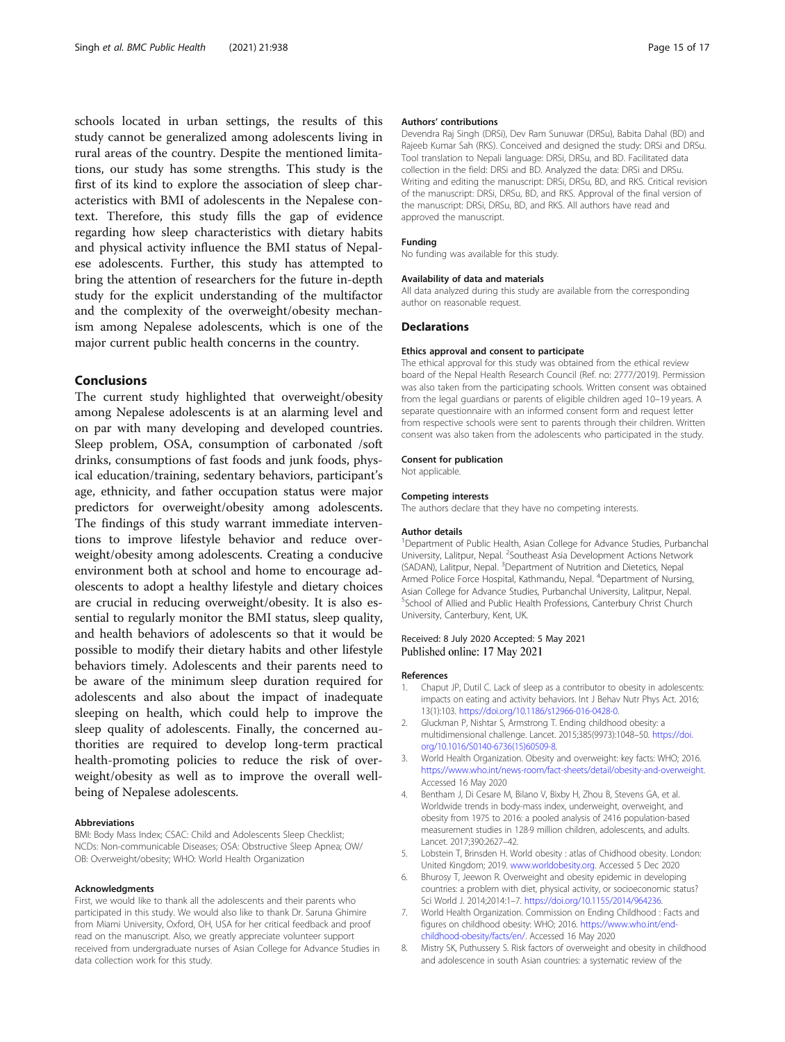<span id="page-14-0"></span>schools located in urban settings, the results of this study cannot be generalized among adolescents living in rural areas of the country. Despite the mentioned limitations, our study has some strengths. This study is the first of its kind to explore the association of sleep characteristics with BMI of adolescents in the Nepalese context. Therefore, this study fills the gap of evidence regarding how sleep characteristics with dietary habits and physical activity influence the BMI status of Nepalese adolescents. Further, this study has attempted to bring the attention of researchers for the future in-depth study for the explicit understanding of the multifactor and the complexity of the overweight/obesity mechanism among Nepalese adolescents, which is one of the major current public health concerns in the country.

#### Conclusions

The current study highlighted that overweight/obesity among Nepalese adolescents is at an alarming level and on par with many developing and developed countries. Sleep problem, OSA, consumption of carbonated /soft drinks, consumptions of fast foods and junk foods, physical education/training, sedentary behaviors, participant's age, ethnicity, and father occupation status were major predictors for overweight/obesity among adolescents. The findings of this study warrant immediate interventions to improve lifestyle behavior and reduce overweight/obesity among adolescents. Creating a conducive environment both at school and home to encourage adolescents to adopt a healthy lifestyle and dietary choices are crucial in reducing overweight/obesity. It is also essential to regularly monitor the BMI status, sleep quality, and health behaviors of adolescents so that it would be possible to modify their dietary habits and other lifestyle behaviors timely. Adolescents and their parents need to be aware of the minimum sleep duration required for adolescents and also about the impact of inadequate sleeping on health, which could help to improve the sleep quality of adolescents. Finally, the concerned authorities are required to develop long-term practical health-promoting policies to reduce the risk of overweight/obesity as well as to improve the overall wellbeing of Nepalese adolescents.

#### Abbreviations

BMI: Body Mass Index; CSAC: Child and Adolescents Sleep Checklist; NCDs: Non-communicable Diseases; OSA: Obstructive Sleep Apnea; OW/ OB: Overweight/obesity; WHO: World Health Organization

#### Acknowledgments

First, we would like to thank all the adolescents and their parents who participated in this study. We would also like to thank Dr. Saruna Ghimire from Miami University, Oxford, OH, USA for her critical feedback and proof read on the manuscript. Also, we greatly appreciate volunteer support received from undergraduate nurses of Asian College for Advance Studies in data collection work for this study.

#### Authors' contributions

Devendra Raj Singh (DRSi), Dev Ram Sunuwar (DRSu), Babita Dahal (BD) and Rajeeb Kumar Sah (RKS). Conceived and designed the study: DRSi and DRSu. Tool translation to Nepali language: DRSi, DRSu, and BD. Facilitated data collection in the field: DRSi and BD. Analyzed the data: DRSi and DRSu. Writing and editing the manuscript: DRSi, DRSu, BD, and RKS. Critical revision of the manuscript: DRSi, DRSu, BD, and RKS. Approval of the final version of the manuscript: DRSi, DRSu, BD, and RKS. All authors have read and approved the manuscript.

#### Funding

No funding was available for this study.

#### Availability of data and materials

All data analyzed during this study are available from the corresponding author on reasonable request.

#### **Declarations**

#### Ethics approval and consent to participate

The ethical approval for this study was obtained from the ethical review board of the Nepal Health Research Council (Ref. no: 2777/2019). Permission was also taken from the participating schools. Written consent was obtained from the legal guardians or parents of eligible children aged 10–19 years. A separate questionnaire with an informed consent form and request letter from respective schools were sent to parents through their children. Written consent was also taken from the adolescents who participated in the study.

#### Consent for publication

Not applicable.

#### Competing interests

The authors declare that they have no competing interests.

#### Author details

<sup>1</sup>Department of Public Health, Asian College for Advance Studies, Purbanchal University, Lalitpur, Nepal. <sup>2</sup>Southeast Asia Development Actions Network (SADAN), Lalitpur, Nepal. <sup>3</sup>Department of Nutrition and Dietetics, Nepal Armed Police Force Hospital, Kathmandu, Nepal. <sup>4</sup>Department of Nursing, Asian College for Advance Studies, Purbanchal University, Lalitpur, Nepal. 5 School of Allied and Public Health Professions, Canterbury Christ Church University, Canterbury, Kent, UK.

#### Received: 8 July 2020 Accepted: 5 May 2021 Published online: 17 May 2021

#### References

- 1. Chaput JP, Dutil C. Lack of sleep as a contributor to obesity in adolescents: impacts on eating and activity behaviors. Int J Behav Nutr Phys Act. 2016; 13(1):103. [https://doi.org/10.1186/s12966-016-0428-0.](https://doi.org/10.1186/s12966-016-0428-0)
- 2. Gluckman P, Nishtar S, Armstrong T. Ending childhood obesity: a multidimensional challenge. Lancet. 2015;385(9973):1048–50. [https://doi.](https://doi.org/10.1016/S0140-6736(15)60509-8) [org/10.1016/S0140-6736\(15\)60509-8.](https://doi.org/10.1016/S0140-6736(15)60509-8)
- 3. World Health Organization. Obesity and overweight: key facts: WHO; 2016. [https://www.who.int/news-room/fact-sheets/detail/obesity-and-overweight.](https://www.who.int/news-room/fact-sheets/detail/obesity-and-overweight) Accessed 16 May 2020
- 4. Bentham J, Di Cesare M, Bilano V, Bixby H, Zhou B, Stevens GA, et al. Worldwide trends in body-mass index, underweight, overweight, and obesity from 1975 to 2016: a pooled analysis of 2416 population-based measurement studies in 128·9 million children, adolescents, and adults. Lancet. 2017;390:2627–42.
- Lobstein T, Brinsden H. World obesity : atlas of Chidhood obesity. London: United Kingdom; 2019. [www.worldobesity.org.](http://www.worldobesity.org) Accessed 5 Dec 2020
- 6. Bhurosy T, Jeewon R. Overweight and obesity epidemic in developing countries: a problem with diet, physical activity, or socioeconomic status? Sci World J. 2014;2014:1–7. [https://doi.org/10.1155/2014/964236.](https://doi.org/10.1155/2014/964236)
- 7. World Health Organization. Commission on Ending Childhood : Facts and figures on childhood obesity: WHO; 2016. [https://www.who.int/end](https://www.who.int/end-childhood-obesity/facts/en/)[childhood-obesity/facts/en/.](https://www.who.int/end-childhood-obesity/facts/en/) Accessed 16 May 2020
- 8. Mistry SK, Puthussery S. Risk factors of overweight and obesity in childhood and adolescence in south Asian countries: a systematic review of the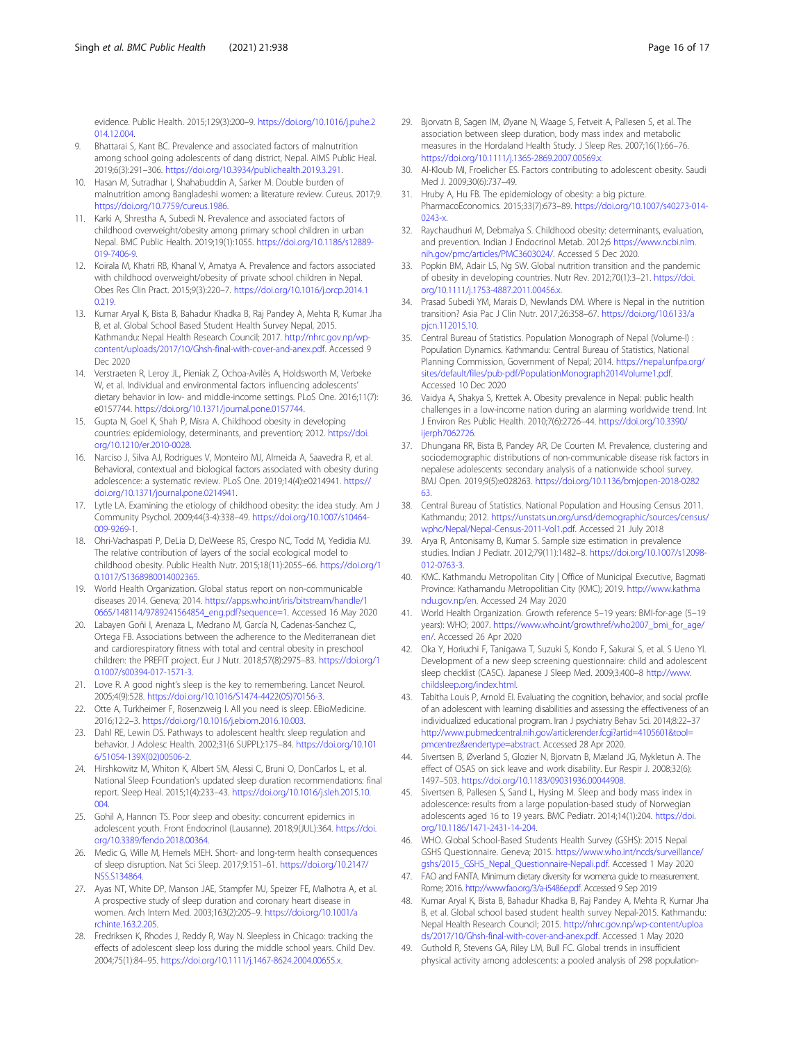<span id="page-15-0"></span>evidence. Public Health. 2015;129(3):200–9. [https://doi.org/10.1016/j.puhe.2](https://doi.org/10.1016/j.puhe.2014.12.004) [014.12.004](https://doi.org/10.1016/j.puhe.2014.12.004).

- 9. Bhattarai S, Kant BC. Prevalence and associated factors of malnutrition among school going adolescents of dang district, Nepal. AIMS Public Heal. 2019;6(3):291–306. <https://doi.org/10.3934/publichealth.2019.3.291>.
- 10. Hasan M, Sutradhar I, Shahabuddin A, Sarker M. Double burden of malnutrition among Bangladeshi women: a literature review. Cureus. 2017;9. <https://doi.org/10.7759/cureus.1986>.
- 11. Karki A, Shrestha A, Subedi N. Prevalence and associated factors of childhood overweight/obesity among primary school children in urban Nepal. BMC Public Health. 2019;19(1):1055. [https://doi.org/10.1186/s12889-](https://doi.org/10.1186/s12889-019-7406-9) [019-7406-9](https://doi.org/10.1186/s12889-019-7406-9).
- 12. Koirala M, Khatri RB, Khanal V, Amatya A. Prevalence and factors associated with childhood overweight/obesity of private school children in Nepal. Obes Res Clin Pract. 2015;9(3):220–7. [https://doi.org/10.1016/j.orcp.2014.1](https://doi.org/10.1016/j.orcp.2014.10.219) [0.219.](https://doi.org/10.1016/j.orcp.2014.10.219)
- 13. Kumar Aryal K, Bista B, Bahadur Khadka B, Raj Pandey A, Mehta R, Kumar Jha B, et al. Global School Based Student Health Survey Nepal, 2015. Kathmandu: Nepal Health Research Council; 2017. [http://nhrc.gov.np/wp](http://nhrc.gov.np/wp-content/uploads/2017/10/Ghsh-final-with-cover-and-anex.pdf)[content/uploads/2017/10/Ghsh-final-with-cover-and-anex.pdf.](http://nhrc.gov.np/wp-content/uploads/2017/10/Ghsh-final-with-cover-and-anex.pdf) Accessed 9 Dec 2020
- 14. Verstraeten R, Leroy JL, Pieniak Z, Ochoa-Avilès A, Holdsworth M, Verbeke W, et al. Individual and environmental factors influencing adolescents' dietary behavior in low- and middle-income settings. PLoS One. 2016;11(7): e0157744. <https://doi.org/10.1371/journal.pone.0157744>.
- 15. Gupta N, Goel K, Shah P, Misra A. Childhood obesity in developing countries: epidemiology, determinants, and prevention; 2012. [https://doi.](https://doi.org/10.1210/er.2010-0028) [org/10.1210/er.2010-0028](https://doi.org/10.1210/er.2010-0028).
- 16. Narciso J, Silva AJ, Rodrigues V, Monteiro MJ, Almeida A, Saavedra R, et al. Behavioral, contextual and biological factors associated with obesity during adolescence: a systematic review. PLoS One. 2019;14(4):e0214941. [https://](https://doi.org/10.1371/journal.pone.0214941) [doi.org/10.1371/journal.pone.0214941.](https://doi.org/10.1371/journal.pone.0214941)
- 17. Lytle LA. Examining the etiology of childhood obesity: the idea study. Am J Community Psychol. 2009;44(3-4):338–49. [https://doi.org/10.1007/s10464-](https://doi.org/10.1007/s10464-009-9269-1) [009-9269-1](https://doi.org/10.1007/s10464-009-9269-1).
- 18. Ohri-Vachaspati P, DeLia D, DeWeese RS, Crespo NC, Todd M, Yedidia MJ. The relative contribution of layers of the social ecological model to childhood obesity. Public Health Nutr. 2015;18(11):2055–66. [https://doi.org/1](https://doi.org/10.1017/S1368980014002365) [0.1017/S1368980014002365](https://doi.org/10.1017/S1368980014002365).
- 19. World Health Organization. Global status report on non-communicable diseases 2014. Geneva; 2014. [https://apps.who.int/iris/bitstream/handle/1](https://apps.who.int/iris/bitstream/handle/10665/148114/9789241564854_eng.pdf?sequence=1) [0665/148114/9789241564854\\_eng.pdf?sequence=1](https://apps.who.int/iris/bitstream/handle/10665/148114/9789241564854_eng.pdf?sequence=1). Accessed 16 May 2020
- 20. Labayen Goñi I, Arenaza L, Medrano M, García N, Cadenas-Sanchez C, Ortega FB. Associations between the adherence to the Mediterranean diet and cardiorespiratory fitness with total and central obesity in preschool children: the PREFIT project. Eur J Nutr. 2018;57(8):2975–83. [https://doi.org/1](https://doi.org/10.1007/s00394-017-1571-3) [0.1007/s00394-017-1571-3.](https://doi.org/10.1007/s00394-017-1571-3)
- 21. Love R. A good night's sleep is the key to remembering. Lancet Neurol. 2005;4(9):528. [https://doi.org/10.1016/S1474-4422\(05\)70156-3.](https://doi.org/10.1016/S1474-4422(05)70156-3)
- 22. Otte A, Turkheimer F, Rosenzweig I. All you need is sleep. EBioMedicine. 2016;12:2–3. [https://doi.org/10.1016/j.ebiom.2016.10.003.](https://doi.org/10.1016/j.ebiom.2016.10.003)
- 23. Dahl RE, Lewin DS. Pathways to adolescent health: sleep regulation and behavior. J Adolesc Health. 2002;31(6 SUPPL):175–84. [https://doi.org/10.101](https://doi.org/10.1016/S1054-139X(02)00506-2) [6/S1054-139X\(02\)00506-2.](https://doi.org/10.1016/S1054-139X(02)00506-2)
- 24. Hirshkowitz M, Whiton K, Albert SM, Alessi C, Bruni O, DonCarlos L, et al. National Sleep Foundation's updated sleep duration recommendations: final report. Sleep Heal. 2015;1(4):233–43. [https://doi.org/10.1016/j.sleh.2015.10.](https://doi.org/10.1016/j.sleh.2015.10.004) [004.](https://doi.org/10.1016/j.sleh.2015.10.004)
- 25. Gohil A, Hannon TS. Poor sleep and obesity: concurrent epidemics in adolescent youth. Front Endocrinol (Lausanne). 2018;9(JUL):364. [https://doi.](https://doi.org/10.3389/fendo.2018.00364) [org/10.3389/fendo.2018.00364.](https://doi.org/10.3389/fendo.2018.00364)
- 26. Medic G, Wille M, Hemels MEH. Short- and long-term health consequences of sleep disruption. Nat Sci Sleep. 2017;9:151–61. [https://doi.org/10.2147/](https://doi.org/10.2147/NSS.S134864) [NSS.S134864.](https://doi.org/10.2147/NSS.S134864)
- 27. Ayas NT, White DP, Manson JAE, Stampfer MJ, Speizer FE, Malhotra A, et al. A prospective study of sleep duration and coronary heart disease in women. Arch Intern Med. 2003;163(2):205–9. [https://doi.org/10.1001/a](https://doi.org/10.1001/archinte.163.2.205) [rchinte.163.2.205.](https://doi.org/10.1001/archinte.163.2.205)
- 28. Fredriksen K, Rhodes J, Reddy R, Way N. Sleepless in Chicago: tracking the effects of adolescent sleep loss during the middle school years. Child Dev. 2004;75(1):84–95. [https://doi.org/10.1111/j.1467-8624.2004.00655.x.](https://doi.org/10.1111/j.1467-8624.2004.00655.x)
- 29. Bjorvatn B, Sagen IM, Øyane N, Waage S, Fetveit A, Pallesen S, et al. The association between sleep duration, body mass index and metabolic measures in the Hordaland Health Study. J Sleep Res. 2007;16(1):66–76. <https://doi.org/10.1111/j.1365-2869.2007.00569.x>.
- 30. Al-Kloub MI, Froelicher ES. Factors contributing to adolescent obesity. Saudi Med J. 2009;30(6):737–49.
- 31. Hruby A, Hu FB. The epidemiology of obesity: a big picture. PharmacoEconomics. 2015;33(7):673–89. [https://doi.org/10.1007/s40273-014-](https://doi.org/10.1007/s40273-014-0243-x) [0243-x.](https://doi.org/10.1007/s40273-014-0243-x)
- 32. Raychaudhuri M, Debmalya S. Childhood obesity: determinants, evaluation, and prevention. Indian J Endocrinol Metab. 2012;6 [https://www.ncbi.nlm.](https://www.ncbi.nlm.nih.gov/pmc/articles/PMC3603024/) [nih.gov/pmc/articles/PMC3603024/.](https://www.ncbi.nlm.nih.gov/pmc/articles/PMC3603024/) Accessed 5 Dec 2020.
- 33. Popkin BM, Adair LS, Ng SW. Global nutrition transition and the pandemic of obesity in developing countries. Nutr Rev. 2012;70(1):3–21. [https://doi.](https://doi.org/10.1111/j.1753-4887.2011.00456.x) [org/10.1111/j.1753-4887.2011.00456.x](https://doi.org/10.1111/j.1753-4887.2011.00456.x).
- 34. Prasad Subedi YM, Marais D, Newlands DM. Where is Nepal in the nutrition transition? Asia Pac J Clin Nutr. 2017;26:358–67. [https://doi.org/10.6133/a](https://doi.org/10.6133/apjcn.112015.10) [pjcn.112015.10.](https://doi.org/10.6133/apjcn.112015.10)
- 35. Central Bureau of Statistics. Population Monograph of Nepal (Volume-I) : Population Dynamics. Kathmandu: Central Bureau of Statistics, National Planning Commission, Government of Nepal; 2014. [https://nepal.unfpa.org/](https://nepal.unfpa.org/sites/default/files/pub-pdf/PopulationMonograph2014Volume1.pdf) [sites/default/files/pub-pdf/PopulationMonograph2014Volume1.pdf](https://nepal.unfpa.org/sites/default/files/pub-pdf/PopulationMonograph2014Volume1.pdf). Accessed 10 Dec 2020
- 36. Vaidya A, Shakya S, Krettek A. Obesity prevalence in Nepal: public health challenges in a low-income nation during an alarming worldwide trend. Int J Environ Res Public Health. 2010;7(6):2726–44. [https://doi.org/10.3390/](https://doi.org/10.3390/ijerph7062726) [ijerph7062726.](https://doi.org/10.3390/ijerph7062726)
- 37. Dhungana RR, Bista B, Pandey AR, De Courten M. Prevalence, clustering and sociodemographic distributions of non-communicable disease risk factors in nepalese adolescents: secondary analysis of a nationwide school survey. BMJ Open. 2019;9(5):e028263. [https://doi.org/10.1136/bmjopen-2018-0282](https://doi.org/10.1136/bmjopen-2018-028263) [63.](https://doi.org/10.1136/bmjopen-2018-028263)
- 38. Central Bureau of Statistics. National Population and Housing Census 2011. Kathmandu; 2012. [https://unstats.un.org/unsd/demographic/sources/census/](https://unstats.un.org/unsd/demographic/sources/census/wphc/Nepal/Nepal-Census-2011-Vol1.pdf) [wphc/Nepal/Nepal-Census-2011-Vol1.pdf](https://unstats.un.org/unsd/demographic/sources/census/wphc/Nepal/Nepal-Census-2011-Vol1.pdf). Accessed 21 July 2018
- Arya R, Antonisamy B, Kumar S. Sample size estimation in prevalence studies. Indian J Pediatr. 2012;79(11):1482–8. [https://doi.org/10.1007/s12098-](https://doi.org/10.1007/s12098-012-0763-3) [012-0763-3](https://doi.org/10.1007/s12098-012-0763-3).
- 40. KMC. Kathmandu Metropolitan City | Office of Municipal Executive, Bagmati Province: Kathamandu Metropolitian City (KMC); 2019. [http://www.kathma](http://www.kathmandu.gov.np/en) [ndu.gov.np/en.](http://www.kathmandu.gov.np/en) Accessed 24 May 2020
- 41. World Health Organization. Growth reference 5–19 years: BMI-for-age (5–19 years): WHO; 2007. [https://www.who.int/growthref/who2007\\_bmi\\_for\\_age/](https://www.who.int/growthref/who2007_bmi_for_age/en/) [en/](https://www.who.int/growthref/who2007_bmi_for_age/en/). Accessed 26 Apr 2020
- 42. Oka Y, Horiuchi F, Tanigawa T, Suzuki S, Kondo F, Sakurai S, et al. S Ueno YI. Development of a new sleep screening questionnaire: child and adolescent sleep checklist (CASC). Japanese J Sleep Med. 2009;3:400–8 [http://www.](http://www.childsleep.org/index.html) [childsleep.org/index.html.](http://www.childsleep.org/index.html)
- 43. Tabitha Louis P, Arnold EI. Evaluating the cognition, behavior, and social profile of an adolescent with learning disabilities and assessing the effectiveness of an individualized educational program. Iran J psychiatry Behav Sci. 2014;8:22–37 [http://www.pubmedcentral.nih.gov/articlerender.fcgi?artid=4105601&tool=](http://www.pubmedcentral.nih.gov/articlerender.fcgi?artid=4105601&tool=pmcentrez&rendertype=abstract) [pmcentrez&rendertype=abstract](http://www.pubmedcentral.nih.gov/articlerender.fcgi?artid=4105601&tool=pmcentrez&rendertype=abstract). Accessed 28 Apr 2020.
- 44. Sivertsen B, Øverland S, Glozier N, Bjorvatn B, Mæland JG, Mykletun A. The effect of OSAS on sick leave and work disability. Eur Respir J. 2008;32(6): 1497–503. <https://doi.org/10.1183/09031936.00044908>.
- 45. Sivertsen B, Pallesen S, Sand L, Hysing M. Sleep and body mass index in adolescence: results from a large population-based study of Norwegian adolescents aged 16 to 19 years. BMC Pediatr. 2014;14(1):204. [https://doi.](https://doi.org/10.1186/1471-2431-14-204) [org/10.1186/1471-2431-14-204.](https://doi.org/10.1186/1471-2431-14-204)
- 46. WHO. Global School-Based Students Health Survey (GSHS): 2015 Nepal GSHS Questionnaire. Geneva; 2015. [https://www.who.int/ncds/surveillance/](https://www.who.int/ncds/surveillance/gshs/2015_GSHS_Nepal_Questionnaire-Nepali.pdf) [gshs/2015\\_GSHS\\_Nepal\\_Questionnaire-Nepali.pdf.](https://www.who.int/ncds/surveillance/gshs/2015_GSHS_Nepal_Questionnaire-Nepali.pdf) Accessed 1 May 2020
- 47. FAO and FANTA. Minimum dietary diversity for women:a guide to measurement. Rome; 2016. <http://www.fao.org/3/a-i5486e.pdf>. Accessed 9 Sep 2019
- 48. Kumar Aryal K, Bista B, Bahadur Khadka B, Raj Pandey A, Mehta R, Kumar Jha B, et al. Global school based student health survey Nepal-2015. Kathmandu: Nepal Health Research Council; 2015. [http://nhrc.gov.np/wp-content/uploa](http://nhrc.gov.np/wp-content/uploads/2017/10/Ghsh-final-with-cover-and-anex.pdf) [ds/2017/10/Ghsh-final-with-cover-and-anex.pdf.](http://nhrc.gov.np/wp-content/uploads/2017/10/Ghsh-final-with-cover-and-anex.pdf) Accessed 1 May 2020
- 49. Guthold R, Stevens GA, Riley LM, Bull FC. Global trends in insufficient physical activity among adolescents: a pooled analysis of 298 population-